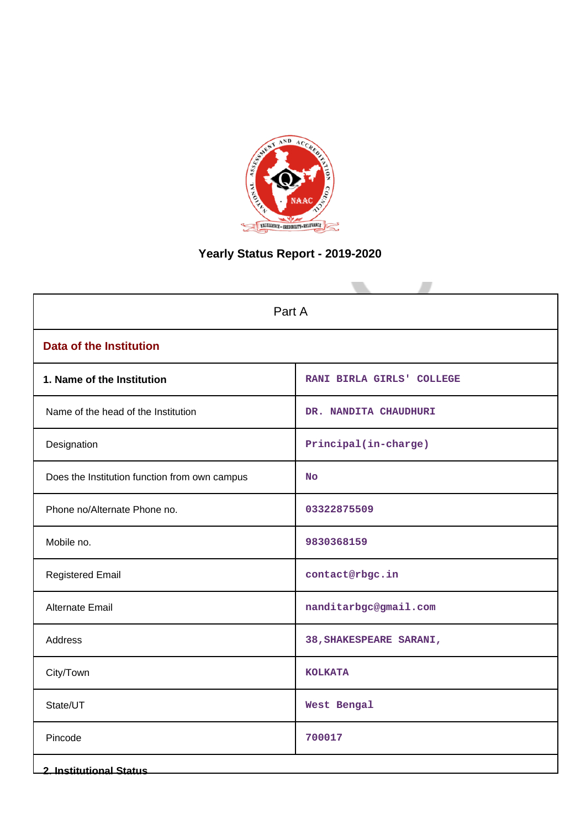

# **Yearly Status Report - 2019-2020**

| Part A                                        |                           |  |  |  |
|-----------------------------------------------|---------------------------|--|--|--|
| <b>Data of the Institution</b>                |                           |  |  |  |
| 1. Name of the Institution                    | RANI BIRLA GIRLS' COLLEGE |  |  |  |
| Name of the head of the Institution           | DR. NANDITA CHAUDHURI     |  |  |  |
| Designation                                   | Principal(in-charge)      |  |  |  |
| Does the Institution function from own campus | <b>No</b>                 |  |  |  |
| Phone no/Alternate Phone no.                  | 03322875509               |  |  |  |
| Mobile no.                                    | 9830368159                |  |  |  |
| <b>Registered Email</b>                       | contact@rbgc.in           |  |  |  |
| <b>Alternate Email</b>                        | nanditarbgc@gmail.com     |  |  |  |
| Address                                       | 38, SHAKESPEARE SARANI,   |  |  |  |
| City/Town                                     | <b>KOLKATA</b>            |  |  |  |
| State/UT                                      | West Bengal               |  |  |  |
| Pincode                                       | 700017                    |  |  |  |
| <b>2. Institutional Status</b>                |                           |  |  |  |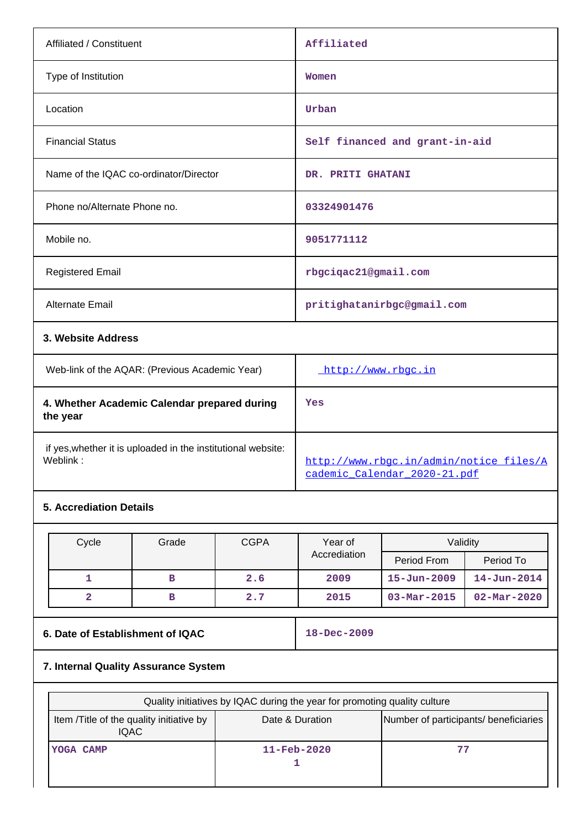| Affiliated / Constituent                                                 |                                                |             | Affiliated                                                              |                            |                          |  |
|--------------------------------------------------------------------------|------------------------------------------------|-------------|-------------------------------------------------------------------------|----------------------------|--------------------------|--|
| Type of Institution                                                      |                                                |             | Women                                                                   |                            |                          |  |
| Location                                                                 |                                                |             | Urban                                                                   |                            |                          |  |
| <b>Financial Status</b>                                                  |                                                |             | Self financed and grant-in-aid                                          |                            |                          |  |
|                                                                          | Name of the IQAC co-ordinator/Director         |             | DR. PRITI GHATANI                                                       |                            |                          |  |
| Phone no/Alternate Phone no.                                             |                                                |             | 03324901476                                                             |                            |                          |  |
| Mobile no.                                                               |                                                |             |                                                                         |                            |                          |  |
| <b>Registered Email</b>                                                  |                                                |             | rbgciqac21@gmail.com                                                    |                            |                          |  |
| Alternate Email                                                          |                                                |             |                                                                         | pritighatanirbgc@gmail.com |                          |  |
|                                                                          | 3. Website Address                             |             |                                                                         |                            |                          |  |
|                                                                          | Web-link of the AQAR: (Previous Academic Year) |             | http://www.rbgc.in                                                      |                            |                          |  |
| 4. Whether Academic Calendar prepared during<br>the year                 |                                                |             | Yes                                                                     |                            |                          |  |
| if yes, whether it is uploaded in the institutional website:<br>Weblink: |                                                |             | http://www.rbgc.in/admin/notice_files/A<br>cademic_Calendar_2020-21.pdf |                            |                          |  |
| <b>5. Accrediation Details</b>                                           |                                                |             |                                                                         |                            |                          |  |
|                                                                          |                                                |             | Year of                                                                 | Validity                   |                          |  |
| Cycle                                                                    | Grade                                          | <b>CGPA</b> | Accrediation                                                            | Period From                | Period To                |  |
| $\mathbf{1}$                                                             | в                                              | 2.6         | 2009                                                                    | $15 - Jun - 2009$          | $14 - Jun - 2014$        |  |
| $\overline{\mathbf{2}}$                                                  | $\, {\bf B}$                                   | 2.7         | 2015                                                                    | $03 - Mar - 2015$          | $02 - \text{Mar} - 2020$ |  |

# **6. Date of Establishment of IQAC** 18-Dec-2009

# **7. Internal Quality Assurance System**

| Quality initiatives by IQAC during the year for promoting quality culture |                                       |    |  |  |  |  |
|---------------------------------------------------------------------------|---------------------------------------|----|--|--|--|--|
| Item / Title of the quality initiative by<br><b>IQAC</b>                  | Number of participants/ beneficiaries |    |  |  |  |  |
| YOGA CAMP                                                                 | $11 - \text{Feb} - 2020$              | 77 |  |  |  |  |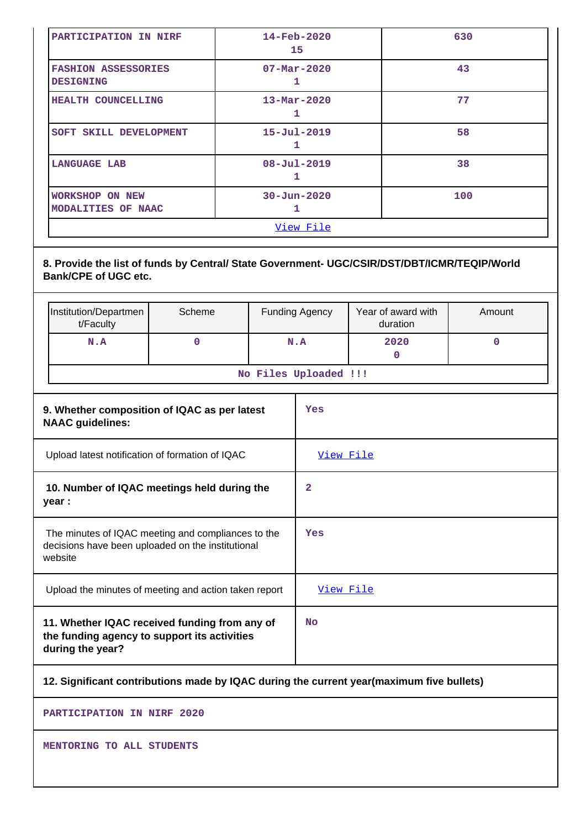| PARTICIPATION IN NIRF                          | $14 - \text{Feb} - 2020$<br>15 | 630 |  |  |
|------------------------------------------------|--------------------------------|-----|--|--|
| <b>FASHION ASSESSORIES</b><br><b>DESIGNING</b> | $07 - Mar - 2020$              | 43  |  |  |
| HEALTH COUNCELLING                             | $13 - \text{Mar} - 2020$       | 77  |  |  |
| SOFT SKILL DEVELOPMENT                         | $15 - Ju1 - 2019$<br>1         | 58  |  |  |
| <b>LANGUAGE LAB</b>                            | $08 - Ju1 - 2019$<br>ı         | 38  |  |  |
| <b>WORKSHOP ON NEW</b><br>MODALITIES OF NAAC   | $30 - Jun - 2020$              | 100 |  |  |
| View File                                      |                                |     |  |  |

## **8. Provide the list of funds by Central/ State Government- UGC/CSIR/DST/DBT/ICMR/TEQIP/World Bank/CPE of UGC etc.**

|                                                                                                                    | Institution/Departmen<br>t/Faculty | Scheme   |           | <b>Funding Agency</b> | Year of award with<br>duration | Amount      |
|--------------------------------------------------------------------------------------------------------------------|------------------------------------|----------|-----------|-----------------------|--------------------------------|-------------|
|                                                                                                                    | N.A                                | $\Omega$ |           | N.A                   | 2020<br>$\mathbf 0$            | $\mathbf 0$ |
|                                                                                                                    |                                    |          |           | No Files Uploaded !!! |                                |             |
| 9. Whether composition of IQAC as per latest<br><b>NAAC</b> guidelines:                                            |                                    |          |           | Yes                   |                                |             |
| Upload latest notification of formation of IQAC                                                                    |                                    |          | View File |                       |                                |             |
| 10. Number of IQAC meetings held during the<br>year :                                                              |                                    |          | 2         |                       |                                |             |
| The minutes of IQAC meeting and compliances to the<br>decisions have been uploaded on the institutional<br>website |                                    |          |           | Yes                   |                                |             |
| Upload the minutes of meeting and action taken report                                                              |                                    |          | View File |                       |                                |             |
| 11. Whether IQAC received funding from any of<br>the funding agency to support its activities<br>during the year?  |                                    |          | <b>No</b> |                       |                                |             |
|                                                                                                                    |                                    |          |           |                       |                                |             |

## **12. Significant contributions made by IQAC during the current year(maximum five bullets)**

**PARTICIPATION IN NIRF 2020**

**MENTORING TO ALL STUDENTS**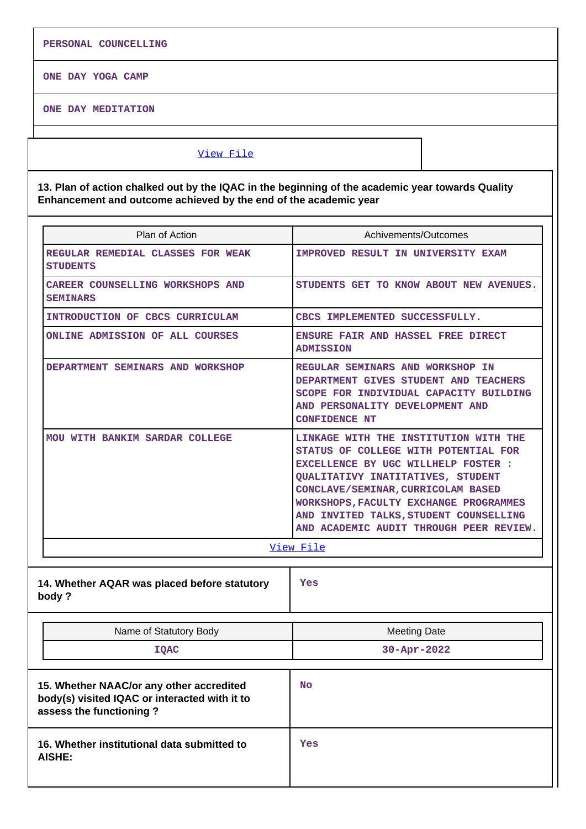**PERSONAL COUNCELLING**

**ONE DAY YOGA CAMP**

**ONE DAY MEDITATION**

#### [View File](https://assessmentonline.naac.gov.in/public/Postacc/Contribution/20073_Contribution.xlsx)

**13. Plan of action chalked out by the IQAC in the beginning of the academic year towards Quality Enhancement and outcome achieved by the end of the academic year**

| Plan of Action                                                                                                       | Achivements/Outcomes                                                                                                                                                                                                                                                                                                                  |  |  |
|----------------------------------------------------------------------------------------------------------------------|---------------------------------------------------------------------------------------------------------------------------------------------------------------------------------------------------------------------------------------------------------------------------------------------------------------------------------------|--|--|
| <b>REGULAR REMEDIAL CLASSES FOR WEAK</b><br><b>STUDENTS</b>                                                          | <b>IMPROVED RESULT IN UNIVERSITY EXAM</b>                                                                                                                                                                                                                                                                                             |  |  |
| <b>CAREER COUNSELLING WORKSHOPS AND</b><br><b>SEMINARS</b>                                                           | STUDENTS GET TO KNOW ABOUT NEW AVENUES.                                                                                                                                                                                                                                                                                               |  |  |
| INTRODUCTION OF CBCS CURRICULAM                                                                                      | CBCS IMPLEMENTED SUCCESSFULLY.                                                                                                                                                                                                                                                                                                        |  |  |
| ONLINE ADMISSION OF ALL COURSES                                                                                      | ENSURE FAIR AND HASSEL FREE DIRECT<br><b>ADMISSION</b>                                                                                                                                                                                                                                                                                |  |  |
| DEPARTMENT SEMINARS AND WORKSHOP                                                                                     | REGULAR SEMINARS AND WORKSHOP IN<br>DEPARTMENT GIVES STUDENT AND TEACHERS<br>SCOPE FOR INDIVIDUAL CAPACITY BUILDING<br>AND PERSONALITY DEVELOPMENT AND<br><b>CONFIDENCE NT</b>                                                                                                                                                        |  |  |
| MOU WITH BANKIM SARDAR COLLEGE                                                                                       | LINKAGE WITH THE INSTITUTION WITH THE<br>STATUS OF COLLEGE WITH POTENTIAL FOR<br><b>EXCELLENCE BY UGC WILLHELP FOSTER :</b><br>QUALITATIVY INATITATIVES, STUDENT<br>CONCLAVE/SEMINAR, CURRICOLAM BASED<br>WORKSHOPS, FACULTY EXCHANGE PROGRAMMES<br>AND INVITED TALKS, STUDENT COUNSELLING<br>AND ACADEMIC AUDIT THROUGH PEER REVIEW. |  |  |
|                                                                                                                      | <u>View File</u>                                                                                                                                                                                                                                                                                                                      |  |  |
| 14. Whether AQAR was placed before statutory<br>body?                                                                | Yes                                                                                                                                                                                                                                                                                                                                   |  |  |
| Name of Statutory Body                                                                                               | <b>Meeting Date</b>                                                                                                                                                                                                                                                                                                                   |  |  |
| <b>IQAC</b>                                                                                                          | $30 - Apr - 2022$                                                                                                                                                                                                                                                                                                                     |  |  |
| 15. Whether NAAC/or any other accredited<br>body(s) visited IQAC or interacted with it to<br>assess the functioning? | <b>No</b>                                                                                                                                                                                                                                                                                                                             |  |  |
| 16. Whether institutional data submitted to<br><b>AISHE:</b>                                                         | Yes                                                                                                                                                                                                                                                                                                                                   |  |  |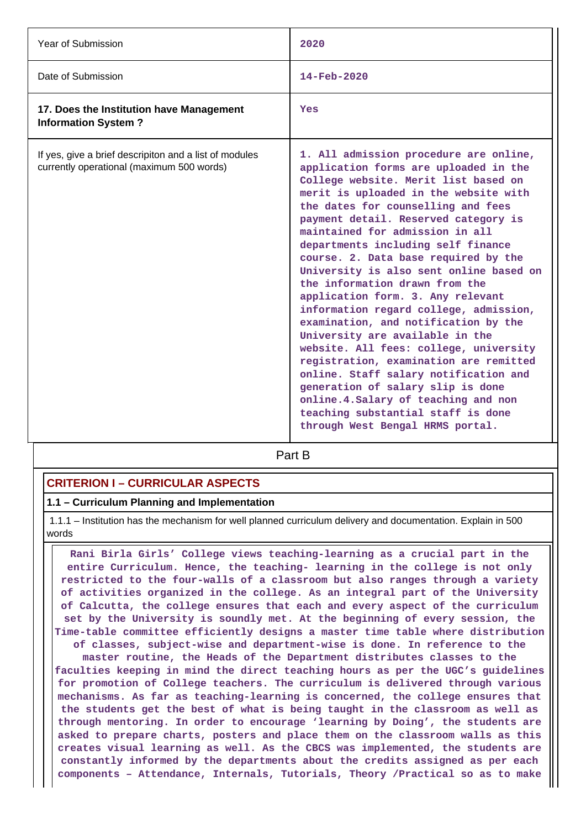| Year of Submission                                                                                  | 2020                                                                                                                                                                                                                                                                                                                                                                                                                                                                                                                                                                                                                                                                                                                                                                                                                                                                                        |
|-----------------------------------------------------------------------------------------------------|---------------------------------------------------------------------------------------------------------------------------------------------------------------------------------------------------------------------------------------------------------------------------------------------------------------------------------------------------------------------------------------------------------------------------------------------------------------------------------------------------------------------------------------------------------------------------------------------------------------------------------------------------------------------------------------------------------------------------------------------------------------------------------------------------------------------------------------------------------------------------------------------|
| Date of Submission                                                                                  | $14 - \text{Feb} - 2020$                                                                                                                                                                                                                                                                                                                                                                                                                                                                                                                                                                                                                                                                                                                                                                                                                                                                    |
| 17. Does the Institution have Management<br><b>Information System?</b>                              | Yes                                                                                                                                                                                                                                                                                                                                                                                                                                                                                                                                                                                                                                                                                                                                                                                                                                                                                         |
| If yes, give a brief descripiton and a list of modules<br>currently operational (maximum 500 words) | 1. All admission procedure are online,<br>application forms are uploaded in the<br>College website. Merit list based on<br>merit is uploaded in the website with<br>the dates for counselling and fees<br>payment detail. Reserved category is<br>maintained for admission in all<br>departments including self finance<br>course. 2. Data base required by the<br>University is also sent online based on<br>the information drawn from the<br>application form. 3. Any relevant<br>information regard college, admission,<br>examination, and notification by the<br>University are available in the<br>website. All fees: college, university<br>registration, examination are remitted<br>online. Staff salary notification and<br>generation of salary slip is done<br>online. 4. Salary of teaching and non<br>teaching substantial staff is done<br>through West Bengal HRMS portal. |

**Part B** 

## **CRITERION I – CURRICULAR ASPECTS**

## **1.1 – Curriculum Planning and Implementation**

 1.1.1 – Institution has the mechanism for well planned curriculum delivery and documentation. Explain in 500 words

 **Rani Birla Girls' College views teaching-learning as a crucial part in the entire Curriculum. Hence, the teaching- learning in the college is not only restricted to the four-walls of a classroom but also ranges through a variety of activities organized in the college. As an integral part of the University of Calcutta, the college ensures that each and every aspect of the curriculum set by the University is soundly met. At the beginning of every session, the Time-table committee efficiently designs a master time table where distribution of classes, subject-wise and department-wise is done. In reference to the master routine, the Heads of the Department distributes classes to the faculties keeping in mind the direct teaching hours as per the UGC's guidelines for promotion of College teachers. The curriculum is delivered through various**

**mechanisms. As far as teaching-learning is concerned, the college ensures that the students get the best of what is being taught in the classroom as well as through mentoring. In order to encourage 'learning by Doing', the students are asked to prepare charts, posters and place them on the classroom walls as this creates visual learning as well. As the CBCS was implemented, the students are constantly informed by the departments about the credits assigned as per each components – Attendance, Internals, Tutorials, Theory /Practical so as to make**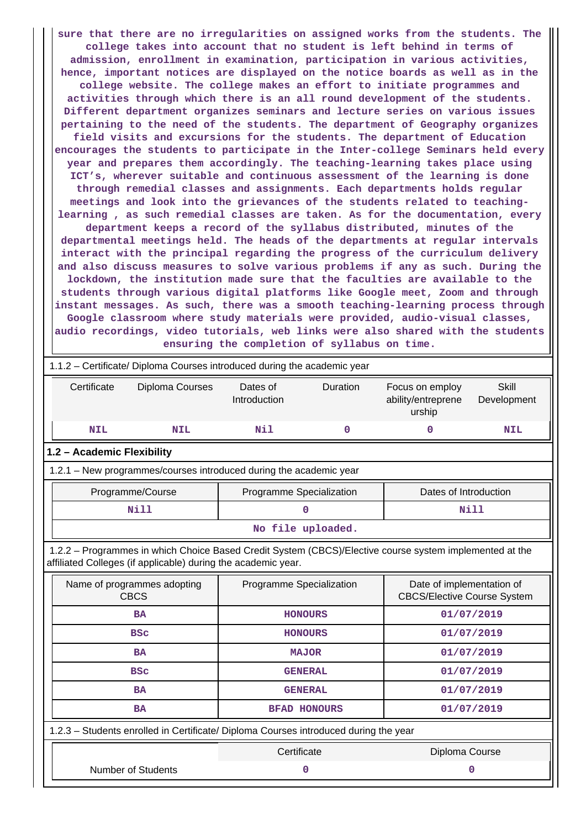**sure that there are no irregularities on assigned works from the students. The college takes into account that no student is left behind in terms of admission, enrollment in examination, participation in various activities, hence, important notices are displayed on the notice boards as well as in the college website. The college makes an effort to initiate programmes and activities through which there is an all round development of the students. Different department organizes seminars and lecture series on various issues pertaining to the need of the students. The department of Geography organizes field visits and excursions for the students. The department of Education encourages the students to participate in the Inter-college Seminars held every year and prepares them accordingly. The teaching-learning takes place using ICT's, wherever suitable and continuous assessment of the learning is done through remedial classes and assignments. Each departments holds regular meetings and look into the grievances of the students related to teachinglearning , as such remedial classes are taken. As for the documentation, every department keeps a record of the syllabus distributed, minutes of the departmental meetings held. The heads of the departments at regular intervals interact with the principal regarding the progress of the curriculum delivery and also discuss measures to solve various problems if any as such. During the lockdown, the institution made sure that the faculties are available to the students through various digital platforms like Google meet, Zoom and through instant messages. As such, there was a smooth teaching-learning process through Google classroom where study materials were provided, audio-visual classes, audio recordings, video tutorials, web links were also shared with the students ensuring the completion of syllabus on time.**

|                                                                                                                                                                          | 1.1.2 - Certificate/ Diploma Courses introduced during the academic year |                     |                                                 |                             |  |  |  |  |
|--------------------------------------------------------------------------------------------------------------------------------------------------------------------------|--------------------------------------------------------------------------|---------------------|-------------------------------------------------|-----------------------------|--|--|--|--|
| Certificate<br>Diploma Courses                                                                                                                                           | Dates of<br>Introduction                                                 | <b>Duration</b>     | Focus on employ<br>ability/entreprene<br>urship | <b>Skill</b><br>Development |  |  |  |  |
| <b>NIL</b><br><b>NIL</b>                                                                                                                                                 | Nil                                                                      | $\mathbf 0$         | 0                                               | <b>NIL</b>                  |  |  |  |  |
| 1.2 - Academic Flexibility                                                                                                                                               |                                                                          |                     |                                                 |                             |  |  |  |  |
| 1.2.1 - New programmes/courses introduced during the academic year                                                                                                       |                                                                          |                     |                                                 |                             |  |  |  |  |
| Programme/Course                                                                                                                                                         | Programme Specialization                                                 |                     | Dates of Introduction                           |                             |  |  |  |  |
| Nill                                                                                                                                                                     |                                                                          | $\mathbf 0$         |                                                 | Nill                        |  |  |  |  |
|                                                                                                                                                                          |                                                                          | No file uploaded.   |                                                 |                             |  |  |  |  |
| 1.2.2 - Programmes in which Choice Based Credit System (CBCS)/Elective course system implemented at the<br>affiliated Colleges (if applicable) during the academic year. |                                                                          |                     |                                                 |                             |  |  |  |  |
| Name of programmes adopting<br>Date of implementation of<br>Programme Specialization<br><b>CBCS</b><br><b>CBCS/Elective Course System</b>                                |                                                                          |                     |                                                 |                             |  |  |  |  |
| <b>BA</b>                                                                                                                                                                |                                                                          | <b>HONOURS</b>      |                                                 | 01/07/2019                  |  |  |  |  |
| <b>BSC</b>                                                                                                                                                               |                                                                          | <b>HONOURS</b>      |                                                 | 01/07/2019                  |  |  |  |  |
| <b>BA</b>                                                                                                                                                                | <b>MAJOR</b>                                                             |                     | 01/07/2019                                      |                             |  |  |  |  |
| <b>BSC</b>                                                                                                                                                               |                                                                          | <b>GENERAL</b>      |                                                 | 01/07/2019                  |  |  |  |  |
| <b>BA</b>                                                                                                                                                                |                                                                          | <b>GENERAL</b>      |                                                 | 01/07/2019                  |  |  |  |  |
| <b>BA</b>                                                                                                                                                                |                                                                          | <b>BFAD HONOURS</b> |                                                 | 01/07/2019                  |  |  |  |  |
| 1.2.3 - Students enrolled in Certificate/ Diploma Courses introduced during the year                                                                                     |                                                                          |                     |                                                 |                             |  |  |  |  |
|                                                                                                                                                                          | Certificate                                                              |                     | Diploma Course                                  |                             |  |  |  |  |
| <b>Number of Students</b>                                                                                                                                                |                                                                          | 0                   |                                                 | 0                           |  |  |  |  |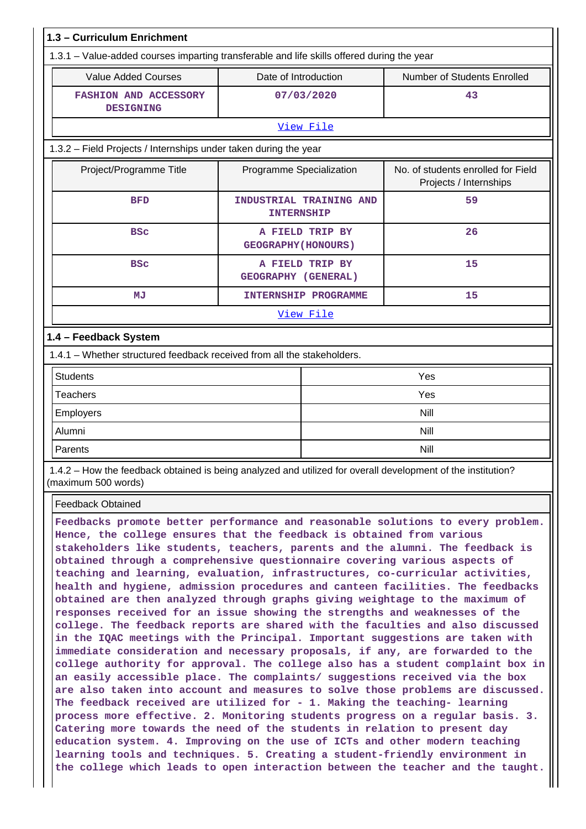| 1.3 - Curriculum Enrichment                                                                                         |                            |                             |                             |  |  |  |  |  |
|---------------------------------------------------------------------------------------------------------------------|----------------------------|-----------------------------|-----------------------------|--|--|--|--|--|
| 1.3.1 – Value-added courses imparting transferable and life skills offered during the year                          |                            |                             |                             |  |  |  |  |  |
| <b>Value Added Courses</b>                                                                                          | Date of Introduction       |                             | Number of Students Enrolled |  |  |  |  |  |
| <b>FASHION AND ACCESSORY</b><br><b>DESIGNING</b>                                                                    |                            | 07/03/2020                  | 43                          |  |  |  |  |  |
|                                                                                                                     |                            | View File                   |                             |  |  |  |  |  |
| 1.3.2 - Field Projects / Internships under taken during the year                                                    |                            |                             |                             |  |  |  |  |  |
| No. of students enrolled for Field<br>Project/Programme Title<br>Programme Specialization<br>Projects / Internships |                            |                             |                             |  |  |  |  |  |
| <b>BFD</b>                                                                                                          | <b>INTERNSHIP</b>          | INDUSTRIAL TRAINING AND     | 59                          |  |  |  |  |  |
| <b>BSC</b>                                                                                                          | <b>GEOGRAPHY (HONOURS)</b> | A FIELD TRIP BY             | 26                          |  |  |  |  |  |
| <b>BSC</b>                                                                                                          | GEOGRAPHY (GENERAL)        | A FIELD TRIP BY             | 15                          |  |  |  |  |  |
| MJ                                                                                                                  |                            | <b>INTERNSHIP PROGRAMME</b> | 15                          |  |  |  |  |  |
|                                                                                                                     |                            | View File                   |                             |  |  |  |  |  |
| 1.4 - Feedback System                                                                                               |                            |                             |                             |  |  |  |  |  |
| 1.4.1 - Whether structured feedback received from all the stakeholders.                                             |                            |                             |                             |  |  |  |  |  |
| <b>Students</b>                                                                                                     |                            |                             | Yes                         |  |  |  |  |  |
| <b>Teachers</b>                                                                                                     |                            |                             | Yes                         |  |  |  |  |  |
| Employers                                                                                                           |                            |                             |                             |  |  |  |  |  |
| Alumni                                                                                                              |                            |                             |                             |  |  |  |  |  |
| Parents                                                                                                             | Nill                       |                             |                             |  |  |  |  |  |

 1.4.2 – How the feedback obtained is being analyzed and utilized for overall development of the institution? (maximum 500 words)

Feedback Obtained

**Feedbacks promote better performance and reasonable solutions to every problem. Hence, the college ensures that the feedback is obtained from various stakeholders like students, teachers, parents and the alumni. The feedback is obtained through a comprehensive questionnaire covering various aspects of teaching and learning, evaluation, infrastructures, co-curricular activities, health and hygiene, admission procedures and canteen facilities. The feedbacks obtained are then analyzed through graphs giving weightage to the maximum of responses received for an issue showing the strengths and weaknesses of the college. The feedback reports are shared with the faculties and also discussed in the IQAC meetings with the Principal. Important suggestions are taken with immediate consideration and necessary proposals, if any, are forwarded to the college authority for approval. The college also has a student complaint box in an easily accessible place. The complaints/ suggestions received via the box are also taken into account and measures to solve those problems are discussed. The feedback received are utilized for - 1. Making the teaching- learning process more effective. 2. Monitoring students progress on a regular basis. 3. Catering more towards the need of the students in relation to present day education system. 4. Improving on the use of ICTs and other modern teaching learning tools and techniques. 5. Creating a student-friendly environment in the college which leads to open interaction between the teacher and the taught.**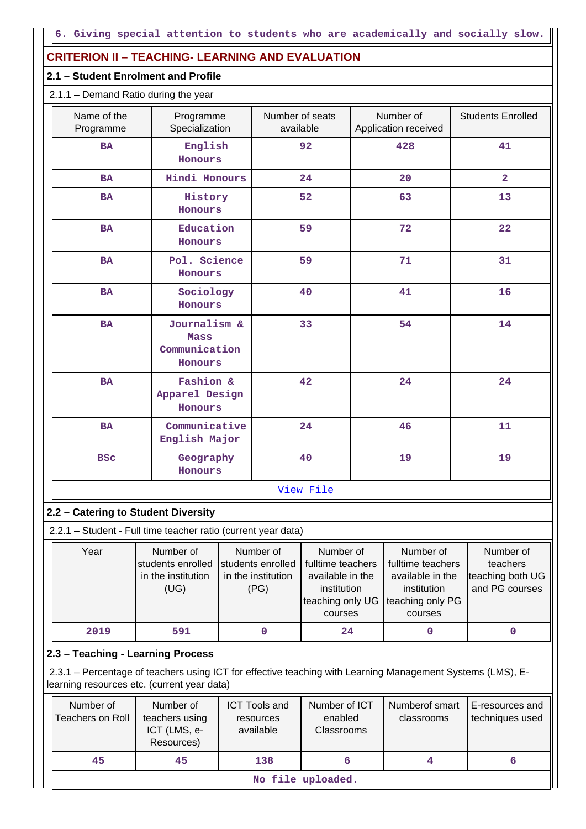## **CRITERION II – TEACHING- LEARNING AND EVALUATION**

## **2.1 – Student Enrolment and Profile**

## 2.1.1 – Demand Ratio during the year

| Name of the<br>Programme                                                                                                                                  | Programme<br>Specialization                                  |  | Number of seats<br>available                                 |                                                                                                  | Number of<br>Application received                                                                |    | <b>Students Enrolled</b>                                    |
|-----------------------------------------------------------------------------------------------------------------------------------------------------------|--------------------------------------------------------------|--|--------------------------------------------------------------|--------------------------------------------------------------------------------------------------|--------------------------------------------------------------------------------------------------|----|-------------------------------------------------------------|
| <b>BA</b>                                                                                                                                                 | English<br>Honours                                           |  |                                                              | 92                                                                                               | 428                                                                                              |    | 41                                                          |
| <b>BA</b>                                                                                                                                                 | Hindi Honours                                                |  |                                                              | 24                                                                                               | 20                                                                                               |    | $\mathbf{2}$                                                |
| <b>BA</b>                                                                                                                                                 | History<br>Honours                                           |  |                                                              | 52                                                                                               | 63                                                                                               |    | 13                                                          |
| <b>BA</b>                                                                                                                                                 | Education<br>Honours                                         |  |                                                              | 59                                                                                               | 72                                                                                               |    | 22                                                          |
| <b>BA</b>                                                                                                                                                 | Pol. Science<br>Honours                                      |  |                                                              | 59                                                                                               | 71                                                                                               |    | 31                                                          |
| <b>BA</b>                                                                                                                                                 | Sociology<br>Honours                                         |  |                                                              | 40                                                                                               | 41                                                                                               |    | 16                                                          |
| <b>BA</b><br>Journalism &<br><b>Mass</b><br>Communication<br>Honours                                                                                      |                                                              |  |                                                              | 33                                                                                               | 54                                                                                               | 14 |                                                             |
| <b>BA</b>                                                                                                                                                 | Fashion &<br>Apparel Design<br>Honours                       |  |                                                              | 42                                                                                               | 24                                                                                               |    | 24                                                          |
| <b>BA</b>                                                                                                                                                 | Communicative<br>English Major                               |  |                                                              | 24                                                                                               | 46                                                                                               |    | 11                                                          |
| <b>BSC</b>                                                                                                                                                | Geography<br>Honours                                         |  |                                                              | 40                                                                                               | 19                                                                                               |    | 19                                                          |
|                                                                                                                                                           |                                                              |  |                                                              | View File                                                                                        |                                                                                                  |    |                                                             |
| 2.2 - Catering to Student Diversity                                                                                                                       |                                                              |  |                                                              |                                                                                                  |                                                                                                  |    |                                                             |
| 2.2.1 - Student - Full time teacher ratio (current year data)                                                                                             |                                                              |  |                                                              |                                                                                                  |                                                                                                  |    |                                                             |
| Year                                                                                                                                                      | Number of<br>students enrolled<br>in the institution<br>(UG) |  | Number of<br>students enrolled<br>in the institution<br>(PG) | Number of<br>fulltime teachers<br>available in the<br>institution<br>teaching only UG<br>courses | Number of<br>fulltime teachers<br>available in the<br>institution<br>teaching only PG<br>courses |    | Number of<br>teachers<br>teaching both UG<br>and PG courses |
| 2019                                                                                                                                                      | 591                                                          |  | $\mathbf 0$                                                  | 24                                                                                               | 0                                                                                                |    | 0                                                           |
| 2.3 - Teaching - Learning Process                                                                                                                         |                                                              |  |                                                              |                                                                                                  |                                                                                                  |    |                                                             |
| 2.3.1 – Percentage of teachers using ICT for effective teaching with Learning Management Systems (LMS), E-<br>learning resources etc. (current year data) |                                                              |  |                                                              |                                                                                                  |                                                                                                  |    |                                                             |
| Number of<br><b>Teachers on Roll</b>                                                                                                                      | Number of<br>teachers using<br>ICT (LMS, e-<br>Resources)    |  | <b>ICT Tools and</b><br>resources<br>available               | Number of ICT<br>enabled<br>Classrooms                                                           | Numberof smart<br>classrooms                                                                     |    | E-resources and<br>techniques used                          |
| 45                                                                                                                                                        | 45                                                           |  | 138                                                          | 6                                                                                                | 4                                                                                                |    | 6                                                           |
|                                                                                                                                                           |                                                              |  | No file uploaded.                                            |                                                                                                  |                                                                                                  |    |                                                             |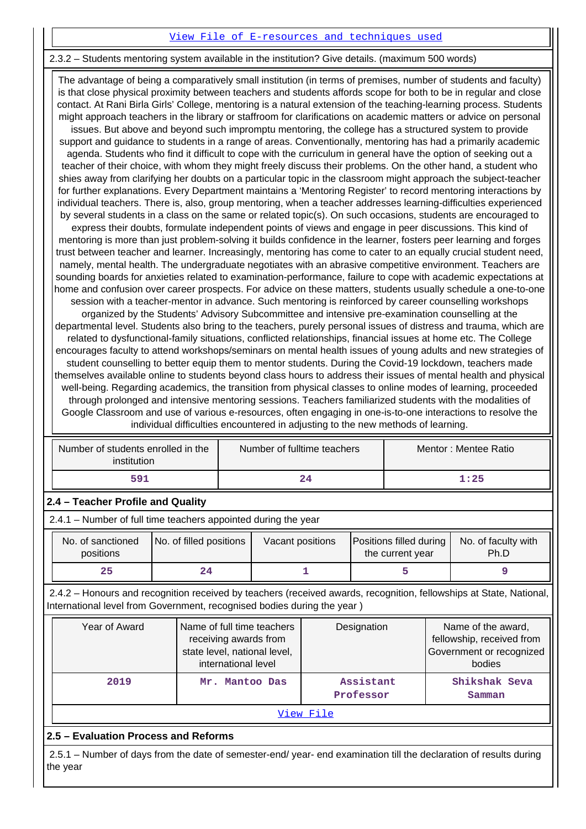#### [View File of E-resources and techniques used](https://assessmentonline.naac.gov.in/public/Postacc/e_resource/20073_e_resource_1652283986.xlsx)

#### 2.3.2 – Students mentoring system available in the institution? Give details. (maximum 500 words)

 The advantage of being a comparatively small institution (in terms of premises, number of students and faculty) is that close physical proximity between teachers and students affords scope for both to be in regular and close contact. At Rani Birla Girls' College, mentoring is a natural extension of the teaching-learning process. Students might approach teachers in the library or staffroom for clarifications on academic matters or advice on personal issues. But above and beyond such impromptu mentoring, the college has a structured system to provide support and guidance to students in a range of areas. Conventionally, mentoring has had a primarily academic agenda. Students who find it difficult to cope with the curriculum in general have the option of seeking out a teacher of their choice, with whom they might freely discuss their problems. On the other hand, a student who shies away from clarifying her doubts on a particular topic in the classroom might approach the subject-teacher for further explanations. Every Department maintains a 'Mentoring Register' to record mentoring interactions by individual teachers. There is, also, group mentoring, when a teacher addresses learning-difficulties experienced by several students in a class on the same or related topic(s). On such occasions, students are encouraged to express their doubts, formulate independent points of views and engage in peer discussions. This kind of mentoring is more than just problem-solving it builds confidence in the learner, fosters peer learning and forges trust between teacher and learner. Increasingly, mentoring has come to cater to an equally crucial student need, namely, mental health. The undergraduate negotiates with an abrasive competitive environment. Teachers are sounding boards for anxieties related to examination-performance, failure to cope with academic expectations at home and confusion over career prospects. For advice on these matters, students usually schedule a one-to-one session with a teacher-mentor in advance. Such mentoring is reinforced by career counselling workshops organized by the Students' Advisory Subcommittee and intensive pre-examination counselling at the departmental level. Students also bring to the teachers, purely personal issues of distress and trauma, which are related to dysfunctional-family situations, conflicted relationships, financial issues at home etc. The College encourages faculty to attend workshops/seminars on mental health issues of young adults and new strategies of student counselling to better equip them to mentor students. During the Covid-19 lockdown, teachers made themselves available online to students beyond class hours to address their issues of mental health and physical well-being. Regarding academics, the transition from physical classes to online modes of learning, proceeded through prolonged and intensive mentoring sessions. Teachers familiarized students with the modalities of Google Classroom and use of various e-resources, often engaging in one-is-to-one interactions to resolve the

individual difficulties encountered in adjusting to the new methods of learning.

| Number of students enrolled in the<br>institution | Number of fulltime teachers | Mentor: Mentee Ratio |
|---------------------------------------------------|-----------------------------|----------------------|
| 591                                               | 24                          | 1:25                 |

## **2.4 – Teacher Profile and Quality**

2.4.1 – Number of full time teachers appointed during the year

| No. of sanctioned<br>positions | No. of filled positions | Vacant positions | <b>Positions filled during   No. of faculty with</b><br>the current year | Ph.D |
|--------------------------------|-------------------------|------------------|--------------------------------------------------------------------------|------|
| 25                             | 24                      |                  |                                                                          |      |

 2.4.2 – Honours and recognition received by teachers (received awards, recognition, fellowships at State, National, International level from Government, recognised bodies during the year )

| Year of Award | Name of full time teachers<br>receiving awards from<br>state level, national level,<br>international level | Designation            | Name of the award,<br>fellowship, received from<br>Government or recognized<br>bodies |  |  |  |
|---------------|------------------------------------------------------------------------------------------------------------|------------------------|---------------------------------------------------------------------------------------|--|--|--|
| 2019          | Mr. Mantoo Das                                                                                             | Assistant<br>Professor | Shikshak Seva<br>Samman                                                               |  |  |  |
| View File     |                                                                                                            |                        |                                                                                       |  |  |  |

## **2.5 – Evaluation Process and Reforms**

 2.5.1 – Number of days from the date of semester-end/ year- end examination till the declaration of results during the year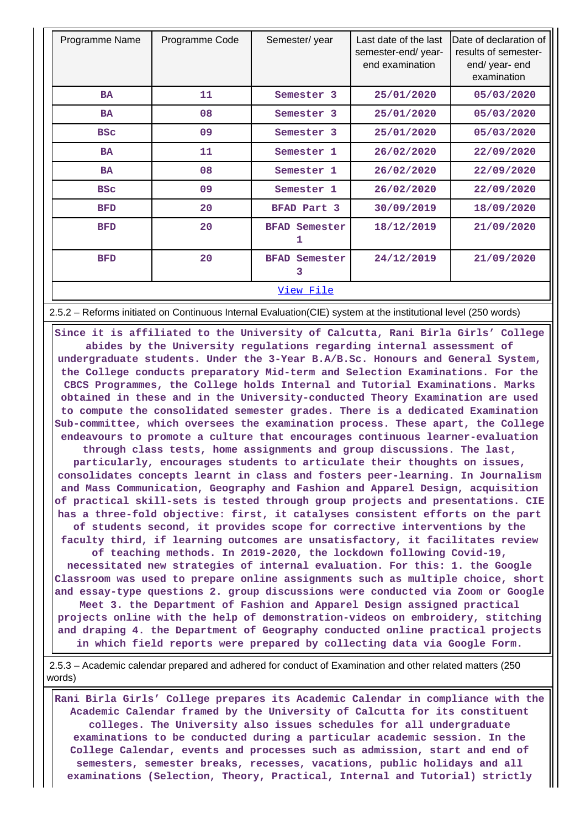| Programme Name | Programme Code | Semester/year                | Last date of the last<br>semester-end/year-<br>end examination | Date of declaration of<br>results of semester-<br>end/ year- end<br>examination |  |  |  |
|----------------|----------------|------------------------------|----------------------------------------------------------------|---------------------------------------------------------------------------------|--|--|--|
| <b>BA</b>      | 11             | Semester 3                   | 25/01/2020                                                     | 05/03/2020                                                                      |  |  |  |
| <b>BA</b>      | 08             | Semester 3                   | 25/01/2020                                                     | 05/03/2020                                                                      |  |  |  |
| <b>BSC</b>     | 09             | Semester 3                   | 25/01/2020                                                     | 05/03/2020                                                                      |  |  |  |
| <b>BA</b>      | 11             | Semester 1                   | 26/02/2020                                                     | 22/09/2020                                                                      |  |  |  |
| <b>BA</b>      | 08             | Semester 1                   | 26/02/2020                                                     | 22/09/2020                                                                      |  |  |  |
| <b>BSC</b>     | 09             | Semester 1                   | 26/02/2020                                                     | 22/09/2020                                                                      |  |  |  |
| <b>BFD</b>     | 20             | BFAD Part 3                  | 30/09/2019                                                     | 18/09/2020                                                                      |  |  |  |
| <b>BFD</b>     | 20             | Semester<br><b>BFAD</b><br>1 | 18/12/2019                                                     | 21/09/2020                                                                      |  |  |  |
| <b>BFD</b>     | 20             | <b>BFAD</b><br>Semester<br>3 | 24/12/2019                                                     | 21/09/2020                                                                      |  |  |  |
| View File      |                |                              |                                                                |                                                                                 |  |  |  |

2.5.2 – Reforms initiated on Continuous Internal Evaluation(CIE) system at the institutional level (250 words)

 **Since it is affiliated to the University of Calcutta, Rani Birla Girls' College abides by the University regulations regarding internal assessment of undergraduate students. Under the 3-Year B.A/B.Sc. Honours and General System, the College conducts preparatory Mid-term and Selection Examinations. For the CBCS Programmes, the College holds Internal and Tutorial Examinations. Marks obtained in these and in the University-conducted Theory Examination are used to compute the consolidated semester grades. There is a dedicated Examination Sub-committee, which oversees the examination process. These apart, the College endeavours to promote a culture that encourages continuous learner-evaluation through class tests, home assignments and group discussions. The last, particularly, encourages students to articulate their thoughts on issues, consolidates concepts learnt in class and fosters peer-learning. In Journalism and Mass Communication, Geography and Fashion and Apparel Design, acquisition of practical skill-sets is tested through group projects and presentations. CIE has a three-fold objective: first, it catalyses consistent efforts on the part of students second, it provides scope for corrective interventions by the faculty third, if learning outcomes are unsatisfactory, it facilitates review of teaching methods. In 2019-2020, the lockdown following Covid-19, necessitated new strategies of internal evaluation. For this: 1. the Google Classroom was used to prepare online assignments such as multiple choice, short and essay-type questions 2. group discussions were conducted via Zoom or Google Meet 3. the Department of Fashion and Apparel Design assigned practical projects online with the help of demonstration-videos on embroidery, stitching and draping 4. the Department of Geography conducted online practical projects in which field reports were prepared by collecting data via Google Form.**

 2.5.3 – Academic calendar prepared and adhered for conduct of Examination and other related matters (250 words)

 **Rani Birla Girls' College prepares its Academic Calendar in compliance with the Academic Calendar framed by the University of Calcutta for its constituent colleges. The University also issues schedules for all undergraduate examinations to be conducted during a particular academic session. In the College Calendar, events and processes such as admission, start and end of semesters, semester breaks, recesses, vacations, public holidays and all examinations (Selection, Theory, Practical, Internal and Tutorial) strictly**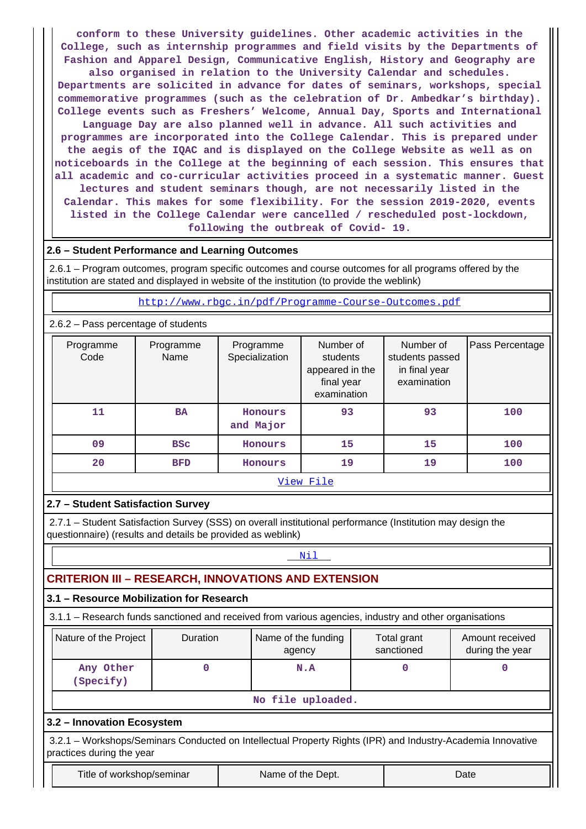**conform to these University guidelines. Other academic activities in the College, such as internship programmes and field visits by the Departments of Fashion and Apparel Design, Communicative English, History and Geography are also organised in relation to the University Calendar and schedules. Departments are solicited in advance for dates of seminars, workshops, special commemorative programmes (such as the celebration of Dr. Ambedkar's birthday). College events such as Freshers' Welcome, Annual Day, Sports and International Language Day are also planned well in advance. All such activities and programmes are incorporated into the College Calendar. This is prepared under the aegis of the IQAC and is displayed on the College Website as well as on noticeboards in the College at the beginning of each session. This ensures that all academic and co-curricular activities proceed in a systematic manner. Guest lectures and student seminars though, are not necessarily listed in the Calendar. This makes for some flexibility. For the session 2019-2020, events listed in the College Calendar were cancelled / rescheduled post-lockdown, following the outbreak of Covid- 19.**

## **2.6 – Student Performance and Learning Outcomes**

 2.6.1 – Program outcomes, program specific outcomes and course outcomes for all programs offered by the institution are stated and displayed in website of the institution (to provide the weblink)

<http://www.rbgc.in/pdf/Programme-Course-Outcomes.pdf>

## 2.6.2 – Pass percentage of students

| Programme<br>Code |           | Programme<br>Name | Programme<br>Specialization | Number of<br>students<br>appeared in the<br>final year<br>examination | Number of<br>students passed<br>in final year<br>examination | Pass Percentage |  |  |  |
|-------------------|-----------|-------------------|-----------------------------|-----------------------------------------------------------------------|--------------------------------------------------------------|-----------------|--|--|--|
| 11                |           | <b>BA</b>         | Honours<br>and Major        | 93                                                                    | 93                                                           | 100             |  |  |  |
| 09                |           | <b>BSC</b>        | Honours                     | 15                                                                    | 15                                                           | 100             |  |  |  |
| 20                |           | <b>BFD</b>        | Honours                     | 19                                                                    | 19                                                           | 100             |  |  |  |
|                   | View File |                   |                             |                                                                       |                                                              |                 |  |  |  |

## **2.7 – Student Satisfaction Survey**

 2.7.1 – Student Satisfaction Survey (SSS) on overall institutional performance (Institution may design the questionnaire) (results and details be provided as weblink)

## **Nil**

## **CRITERION III – RESEARCH, INNOVATIONS AND EXTENSION**

## **3.1 – Resource Mobilization for Research**

3.1.1 – Research funds sanctioned and received from various agencies, industry and other organisations

| Nature of the Project  | <b>Duration</b> | Name of the funding<br>agency | Total grant<br>sanctioned | Amount received<br>during the year |  |  |  |
|------------------------|-----------------|-------------------------------|---------------------------|------------------------------------|--|--|--|
| Any Other<br>(Specify) |                 | N.A                           |                           |                                    |  |  |  |
| $M_0$ file unlooded    |                 |                               |                           |                                    |  |  |  |

#### **No file uploaded.**

## **3.2 – Innovation Ecosystem**

 3.2.1 – Workshops/Seminars Conducted on Intellectual Property Rights (IPR) and Industry-Academia Innovative practices during the year

Title of workshop/seminar The Name of the Dept. The Name of the Name of the Dept.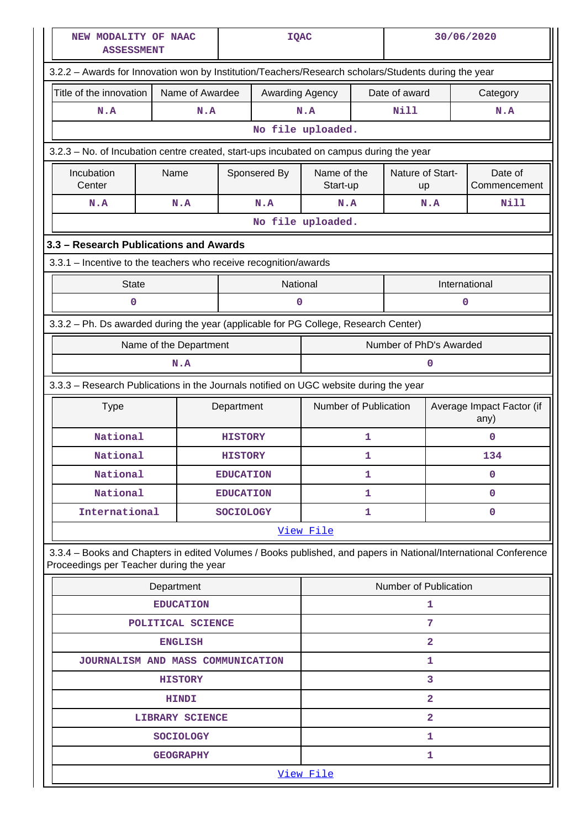| NEW MODALITY OF NAAC<br><b>ASSESSMENT</b>                                                                                                                  | <b>IQAC</b>             |                  |                 | 30/06/2020              |   |                        |                                   |                         |  |  |  |  |  |  |
|------------------------------------------------------------------------------------------------------------------------------------------------------------|-------------------------|------------------|-----------------|-------------------------|---|------------------------|-----------------------------------|-------------------------|--|--|--|--|--|--|
| 3.2.2 - Awards for Innovation won by Institution/Teachers/Research scholars/Students during the year                                                       |                         |                  |                 |                         |   |                        |                                   |                         |  |  |  |  |  |  |
| Title of the innovation                                                                                                                                    | Name of Awardee         |                  | Awarding Agency |                         |   | Date of award          |                                   | Category                |  |  |  |  |  |  |
| N.A                                                                                                                                                        | N.A<br>N.A              |                  |                 | <b>Nill</b>             |   | N.A                    |                                   |                         |  |  |  |  |  |  |
|                                                                                                                                                            |                         |                  |                 | No file uploaded.       |   |                        |                                   |                         |  |  |  |  |  |  |
| 3.2.3 – No. of Incubation centre created, start-ups incubated on campus during the year                                                                    |                         |                  |                 |                         |   |                        |                                   |                         |  |  |  |  |  |  |
| Incubation<br>Center                                                                                                                                       | Name                    |                  | Sponsered By    | Name of the<br>Start-up |   | Nature of Start-<br>up |                                   | Date of<br>Commencement |  |  |  |  |  |  |
| N.A                                                                                                                                                        | N.A                     |                  | N.A             | N.A                     |   |                        | N.A                               | Nill                    |  |  |  |  |  |  |
|                                                                                                                                                            |                         |                  |                 | No file uploaded.       |   |                        |                                   |                         |  |  |  |  |  |  |
| 3.3 - Research Publications and Awards                                                                                                                     |                         |                  |                 |                         |   |                        |                                   |                         |  |  |  |  |  |  |
| 3.3.1 - Incentive to the teachers who receive recognition/awards                                                                                           |                         |                  |                 |                         |   |                        |                                   |                         |  |  |  |  |  |  |
| <b>State</b>                                                                                                                                               |                         |                  | National        |                         |   |                        |                                   | International           |  |  |  |  |  |  |
| 0                                                                                                                                                          |                         |                  | 0               |                         |   |                        |                                   | 0                       |  |  |  |  |  |  |
| 3.3.2 - Ph. Ds awarded during the year (applicable for PG College, Research Center)                                                                        |                         |                  |                 |                         |   |                        |                                   |                         |  |  |  |  |  |  |
| Name of the Department                                                                                                                                     | Number of PhD's Awarded |                  |                 |                         |   |                        |                                   |                         |  |  |  |  |  |  |
| N.A                                                                                                                                                        |                         |                  |                 |                         |   |                        | O                                 |                         |  |  |  |  |  |  |
| 3.3.3 - Research Publications in the Journals notified on UGC website during the year                                                                      |                         |                  |                 |                         |   |                        |                                   |                         |  |  |  |  |  |  |
| <b>Type</b>                                                                                                                                                | Department              |                  |                 | Number of Publication   |   |                        | Average Impact Factor (if<br>any) |                         |  |  |  |  |  |  |
| National                                                                                                                                                   |                         | <b>HISTORY</b>   |                 |                         | 1 |                        |                                   | 0                       |  |  |  |  |  |  |
| National                                                                                                                                                   |                         | <b>HISTORY</b>   |                 |                         | 1 |                        | 134                               |                         |  |  |  |  |  |  |
| National                                                                                                                                                   |                         | <b>EDUCATION</b> |                 |                         | 1 |                        |                                   | 0                       |  |  |  |  |  |  |
| National                                                                                                                                                   |                         | <b>EDUCATION</b> |                 |                         | 1 |                        |                                   | 0                       |  |  |  |  |  |  |
| International                                                                                                                                              |                         | <b>SOCIOLOGY</b> |                 |                         | 1 |                        |                                   | 0                       |  |  |  |  |  |  |
|                                                                                                                                                            |                         |                  |                 | View File               |   |                        |                                   |                         |  |  |  |  |  |  |
| 3.3.4 - Books and Chapters in edited Volumes / Books published, and papers in National/International Conference<br>Proceedings per Teacher during the year |                         |                  |                 |                         |   |                        |                                   |                         |  |  |  |  |  |  |
|                                                                                                                                                            | Department              |                  |                 |                         |   | Number of Publication  |                                   |                         |  |  |  |  |  |  |
|                                                                                                                                                            | <b>EDUCATION</b>        |                  |                 |                         |   |                        | 1                                 |                         |  |  |  |  |  |  |
|                                                                                                                                                            | POLITICAL SCIENCE       |                  |                 |                         |   |                        | 7                                 |                         |  |  |  |  |  |  |
|                                                                                                                                                            | <b>ENGLISH</b>          |                  |                 |                         |   |                        | $\overline{a}$                    |                         |  |  |  |  |  |  |
| JOURNALISM AND MASS COMMUNICATION                                                                                                                          |                         |                  |                 |                         |   | 1                      |                                   |                         |  |  |  |  |  |  |
|                                                                                                                                                            | <b>HISTORY</b>          |                  |                 |                         |   |                        | 3                                 |                         |  |  |  |  |  |  |
|                                                                                                                                                            | <b>HINDI</b>            |                  |                 |                         |   |                        | $\overline{2}$                    |                         |  |  |  |  |  |  |
|                                                                                                                                                            | <b>LIBRARY SCIENCE</b>  |                  |                 | $\overline{2}$          |   |                        |                                   |                         |  |  |  |  |  |  |
|                                                                                                                                                            | <b>SOCIOLOGY</b>        |                  |                 |                         |   |                        | 1                                 |                         |  |  |  |  |  |  |
|                                                                                                                                                            | <b>GEOGRAPHY</b>        |                  |                 |                         |   |                        | 1                                 |                         |  |  |  |  |  |  |
|                                                                                                                                                            |                         |                  |                 |                         |   |                        |                                   | View File               |  |  |  |  |  |  |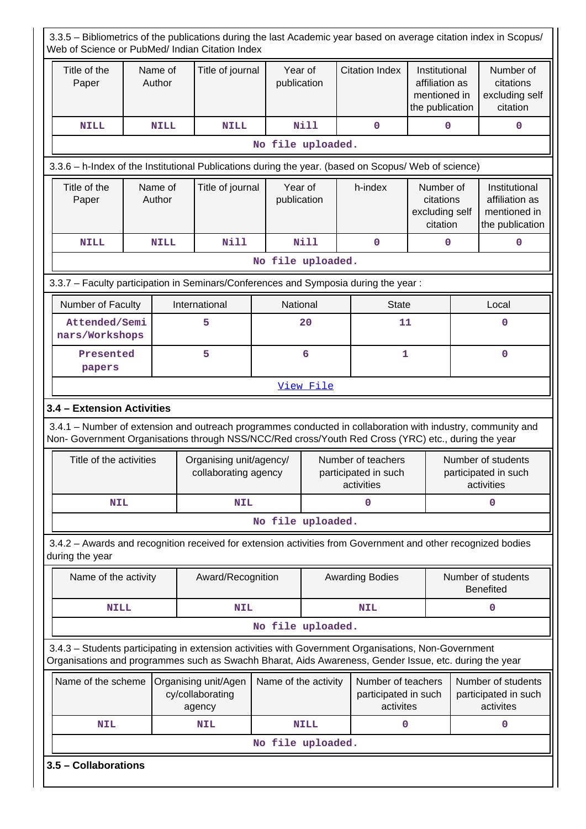| 3.3.5 – Bibliometrics of the publications during the last Academic year based on average citation index in Scopus/<br>Web of Science or PubMed/ Indian Citation Index                                          |                                                                                                                                                                                                                    |                   |                                                    |                        |                                                          |         |                                                         |                                                                    |                                                          |                                                                    |
|----------------------------------------------------------------------------------------------------------------------------------------------------------------------------------------------------------------|--------------------------------------------------------------------------------------------------------------------------------------------------------------------------------------------------------------------|-------------------|----------------------------------------------------|------------------------|----------------------------------------------------------|---------|---------------------------------------------------------|--------------------------------------------------------------------|----------------------------------------------------------|--------------------------------------------------------------------|
| Title of the<br>Paper                                                                                                                                                                                          | Name of<br>Author                                                                                                                                                                                                  |                   | Title of journal                                   | Year of<br>publication |                                                          |         | <b>Citation Index</b>                                   | Institutional<br>affiliation as<br>mentioned in<br>the publication |                                                          | Number of<br>citations<br>excluding self<br>citation               |
| <b>NILL</b>                                                                                                                                                                                                    |                                                                                                                                                                                                                    | <b>NILL</b>       | <b>NILL</b>                                        |                        | <b>Nill</b>                                              |         | $\mathbf 0$                                             | $\mathbf 0$                                                        |                                                          | 0                                                                  |
| No file uploaded.                                                                                                                                                                                              |                                                                                                                                                                                                                    |                   |                                                    |                        |                                                          |         |                                                         |                                                                    |                                                          |                                                                    |
| 3.3.6 - h-Index of the Institutional Publications during the year. (based on Scopus/ Web of science)                                                                                                           |                                                                                                                                                                                                                    |                   |                                                    |                        |                                                          |         |                                                         |                                                                    |                                                          |                                                                    |
| Title of the<br>Paper                                                                                                                                                                                          |                                                                                                                                                                                                                    | Name of<br>Author | Title of journal                                   | Year of<br>publication |                                                          | h-index |                                                         | Number of<br>citations<br>excluding self<br>citation               |                                                          | Institutional<br>affiliation as<br>mentioned in<br>the publication |
| <b>NILL</b>                                                                                                                                                                                                    |                                                                                                                                                                                                                    | <b>NILL</b>       | <b>Nill</b>                                        |                        | <b>Nill</b>                                              |         | $\mathbf 0$                                             | 0                                                                  |                                                          | 0                                                                  |
|                                                                                                                                                                                                                |                                                                                                                                                                                                                    |                   |                                                    | No file uploaded.      |                                                          |         |                                                         |                                                                    |                                                          |                                                                    |
| 3.3.7 - Faculty participation in Seminars/Conferences and Symposia during the year:                                                                                                                            |                                                                                                                                                                                                                    |                   |                                                    |                        |                                                          |         |                                                         |                                                                    |                                                          |                                                                    |
| Number of Faculty                                                                                                                                                                                              |                                                                                                                                                                                                                    |                   | International                                      | National               |                                                          |         | <b>State</b>                                            |                                                                    |                                                          | Local                                                              |
| Attended/Semi<br>nars/Workshops                                                                                                                                                                                |                                                                                                                                                                                                                    |                   | 5                                                  |                        | 20                                                       |         | 11                                                      |                                                                    |                                                          | $\mathbf 0$                                                        |
| Presented<br>papers                                                                                                                                                                                            |                                                                                                                                                                                                                    |                   | 5                                                  |                        | 6                                                        |         | 1                                                       |                                                                    | $\mathbf 0$                                              |                                                                    |
|                                                                                                                                                                                                                |                                                                                                                                                                                                                    |                   |                                                    |                        | View File                                                |         |                                                         |                                                                    |                                                          |                                                                    |
| 3.4 - Extension Activities                                                                                                                                                                                     |                                                                                                                                                                                                                    |                   |                                                    |                        |                                                          |         |                                                         |                                                                    |                                                          |                                                                    |
|                                                                                                                                                                                                                | 3.4.1 – Number of extension and outreach programmes conducted in collaboration with industry, community and<br>Non- Government Organisations through NSS/NCC/Red cross/Youth Red Cross (YRC) etc., during the year |                   |                                                    |                        |                                                          |         |                                                         |                                                                    |                                                          |                                                                    |
| Title of the activities                                                                                                                                                                                        |                                                                                                                                                                                                                    |                   | Organising unit/agency/<br>collaborating agency    |                        | Number of teachers<br>participated in such<br>activities |         |                                                         |                                                                    | Number of students<br>participated in such<br>activities |                                                                    |
| <b>NIL</b>                                                                                                                                                                                                     |                                                                                                                                                                                                                    |                   | <b>NIL</b>                                         |                        |                                                          | 0       |                                                         |                                                                    | 0                                                        |                                                                    |
|                                                                                                                                                                                                                |                                                                                                                                                                                                                    |                   |                                                    | No file uploaded.      |                                                          |         |                                                         |                                                                    |                                                          |                                                                    |
| 3.4.2 - Awards and recognition received for extension activities from Government and other recognized bodies<br>during the year                                                                                |                                                                                                                                                                                                                    |                   |                                                    |                        |                                                          |         |                                                         |                                                                    |                                                          |                                                                    |
| Name of the activity                                                                                                                                                                                           |                                                                                                                                                                                                                    |                   | Award/Recognition                                  |                        |                                                          |         | <b>Awarding Bodies</b>                                  |                                                                    |                                                          | Number of students<br><b>Benefited</b>                             |
| <b>NILL</b>                                                                                                                                                                                                    |                                                                                                                                                                                                                    |                   | <b>NIL</b>                                         |                        |                                                          |         | <b>NIL</b>                                              |                                                                    |                                                          | 0                                                                  |
|                                                                                                                                                                                                                |                                                                                                                                                                                                                    |                   |                                                    | No file uploaded.      |                                                          |         |                                                         |                                                                    |                                                          |                                                                    |
| 3.4.3 - Students participating in extension activities with Government Organisations, Non-Government<br>Organisations and programmes such as Swachh Bharat, Aids Awareness, Gender Issue, etc. during the year |                                                                                                                                                                                                                    |                   |                                                    |                        |                                                          |         |                                                         |                                                                    |                                                          |                                                                    |
| Name of the scheme                                                                                                                                                                                             |                                                                                                                                                                                                                    |                   | Organising unit/Agen<br>cy/collaborating<br>agency | Name of the activity   |                                                          |         | Number of teachers<br>participated in such<br>activites |                                                                    |                                                          | Number of students<br>participated in such<br>activites            |
| <b>NIL</b>                                                                                                                                                                                                     |                                                                                                                                                                                                                    |                   | <b>NIL</b>                                         |                        | <b>NILL</b>                                              |         | $\mathbf 0$                                             |                                                                    |                                                          | $\mathbf 0$                                                        |
|                                                                                                                                                                                                                | No file uploaded.                                                                                                                                                                                                  |                   |                                                    |                        |                                                          |         |                                                         |                                                                    |                                                          |                                                                    |
| 3.5 - Collaborations                                                                                                                                                                                           |                                                                                                                                                                                                                    |                   |                                                    |                        |                                                          |         |                                                         |                                                                    |                                                          |                                                                    |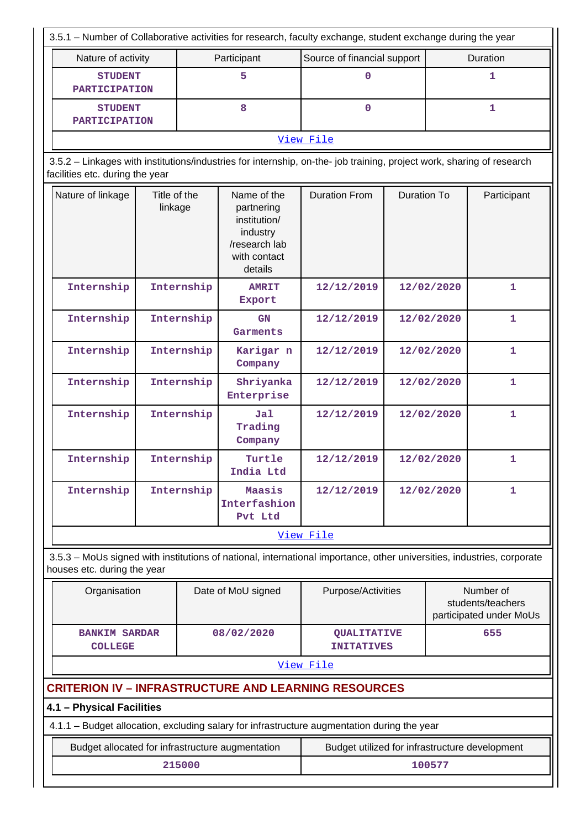| 3.5.1 – Number of Collaborative activities for research, faculty exchange, student exchange during the year                                              |                         |            |                                                                                                   |                                                                                                                        |                    |            |                                                           |  |
|----------------------------------------------------------------------------------------------------------------------------------------------------------|-------------------------|------------|---------------------------------------------------------------------------------------------------|------------------------------------------------------------------------------------------------------------------------|--------------------|------------|-----------------------------------------------------------|--|
| Participant<br>Nature of activity                                                                                                                        |                         |            |                                                                                                   | Source of financial support                                                                                            |                    |            | Duration                                                  |  |
| <b>STUDENT</b><br><b>PARTICIPATION</b>                                                                                                                   |                         |            | 5                                                                                                 | 0                                                                                                                      |                    |            | 1                                                         |  |
| <b>STUDENT</b><br><b>PARTICIPATION</b>                                                                                                                   |                         |            | 8                                                                                                 | $\mathbf{0}$                                                                                                           |                    |            | 1                                                         |  |
|                                                                                                                                                          |                         |            |                                                                                                   | View File                                                                                                              |                    |            |                                                           |  |
| 3.5.2 - Linkages with institutions/industries for internship, on-the- job training, project work, sharing of research<br>facilities etc. during the year |                         |            |                                                                                                   |                                                                                                                        |                    |            |                                                           |  |
| Nature of linkage                                                                                                                                        | Title of the<br>linkage |            | Name of the<br>partnering<br>institution/<br>industry<br>/research lab<br>with contact<br>details | <b>Duration From</b>                                                                                                   | <b>Duration To</b> |            | Participant                                               |  |
| Internship                                                                                                                                               |                         | Internship | <b>AMRIT</b><br>Export                                                                            | 12/12/2019                                                                                                             |                    | 12/02/2020 | $\mathbf{1}$                                              |  |
| Internship                                                                                                                                               | Internship              |            | GN<br>Garments                                                                                    | 12/12/2019                                                                                                             |                    | 12/02/2020 | $\mathbf{1}$                                              |  |
| Internship                                                                                                                                               | Internship              |            | Karigar n<br>Company                                                                              | 12/12/2019                                                                                                             | 12/02/2020         |            | $\mathbf{1}$                                              |  |
| Internship                                                                                                                                               | Internship              |            | Shriyanka<br>Enterprise                                                                           | 12/12/2019                                                                                                             | 12/02/2020         |            | $\mathbf{1}$                                              |  |
| Internship                                                                                                                                               | Internship              |            | Ja1<br>Trading<br>Company                                                                         | 12/12/2019                                                                                                             | 12/02/2020         |            | $\mathbf{1}$                                              |  |
| Internship                                                                                                                                               |                         | Internship | Turtle<br>India Ltd                                                                               | 12/12/2019                                                                                                             |                    | 12/02/2020 | $\mathbf{1}$                                              |  |
| Internship                                                                                                                                               |                         | Internship | Maasis<br>Interfashion<br>Pvt Ltd                                                                 | 12/12/2019                                                                                                             |                    | 12/02/2020 | 1                                                         |  |
|                                                                                                                                                          |                         |            |                                                                                                   | View File                                                                                                              |                    |            |                                                           |  |
| houses etc. during the year                                                                                                                              |                         |            |                                                                                                   | 3.5.3 – MoUs signed with institutions of national, international importance, other universities, industries, corporate |                    |            |                                                           |  |
| Organisation                                                                                                                                             |                         |            | Date of MoU signed                                                                                | Purpose/Activities                                                                                                     |                    |            | Number of<br>students/teachers<br>participated under MoUs |  |
| <b>BANKIM SARDAR</b><br><b>COLLEGE</b>                                                                                                                   |                         |            | 08/02/2020                                                                                        | <b>QUALITATIVE</b><br><b>INITATIVES</b>                                                                                |                    |            | 655                                                       |  |
|                                                                                                                                                          |                         |            |                                                                                                   | View File                                                                                                              |                    |            |                                                           |  |
|                                                                                                                                                          |                         |            |                                                                                                   | <b>CRITERION IV - INFRASTRUCTURE AND LEARNING RESOURCES</b>                                                            |                    |            |                                                           |  |
| 4.1 - Physical Facilities                                                                                                                                |                         |            |                                                                                                   |                                                                                                                        |                    |            |                                                           |  |
|                                                                                                                                                          |                         |            |                                                                                                   | 4.1.1 - Budget allocation, excluding salary for infrastructure augmentation during the year                            |                    |            |                                                           |  |
| Budget allocated for infrastructure augmentation                                                                                                         |                         |            |                                                                                                   | Budget utilized for infrastructure development                                                                         |                    |            |                                                           |  |
|                                                                                                                                                          |                         | 215000     |                                                                                                   |                                                                                                                        |                    | 100577     |                                                           |  |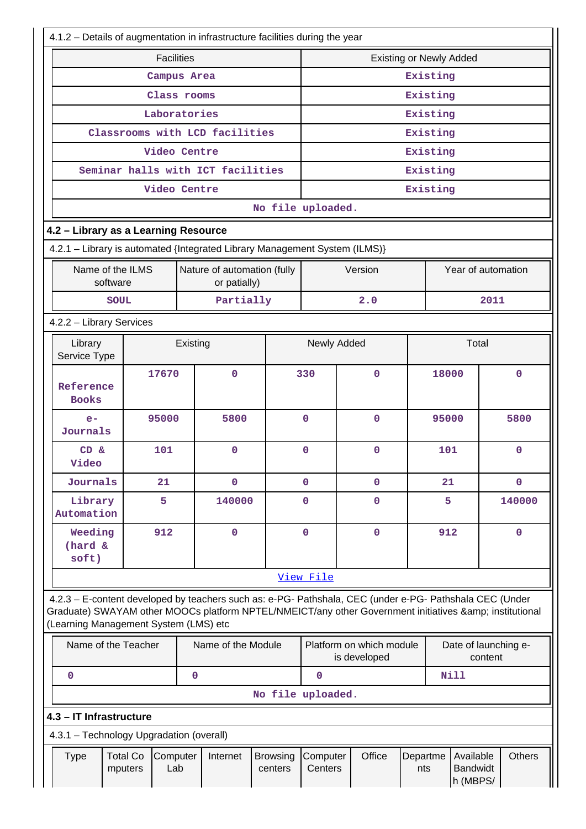| 4.1.2 - Details of augmentation in infrastructure facilities during the year |                                    |                                                                                                                                                                                                                |                            |                     |                                          |                 |                                   |                                 |
|------------------------------------------------------------------------------|------------------------------------|----------------------------------------------------------------------------------------------------------------------------------------------------------------------------------------------------------------|----------------------------|---------------------|------------------------------------------|-----------------|-----------------------------------|---------------------------------|
| <b>Facilities</b>                                                            |                                    |                                                                                                                                                                                                                |                            |                     | <b>Existing or Newly Added</b>           |                 |                                   |                                 |
| Campus Area                                                                  |                                    |                                                                                                                                                                                                                |                            |                     | Existing                                 |                 |                                   |                                 |
| Class rooms                                                                  |                                    |                                                                                                                                                                                                                |                            |                     |                                          |                 | Existing                          |                                 |
| Laboratories                                                                 |                                    |                                                                                                                                                                                                                |                            |                     |                                          |                 | Existing                          |                                 |
|                                                                              |                                    | Classrooms with LCD facilities                                                                                                                                                                                 |                            |                     |                                          |                 | Existing                          |                                 |
|                                                                              |                                    | Video Centre                                                                                                                                                                                                   |                            |                     |                                          |                 | Existing                          |                                 |
|                                                                              |                                    | Seminar halls with ICT facilities                                                                                                                                                                              |                            |                     |                                          |                 | Existing                          |                                 |
|                                                                              |                                    | Video Centre                                                                                                                                                                                                   |                            |                     |                                          |                 | Existing                          |                                 |
|                                                                              |                                    |                                                                                                                                                                                                                | No file uploaded.          |                     |                                          |                 |                                   |                                 |
| 4.2 - Library as a Learning Resource                                         |                                    |                                                                                                                                                                                                                |                            |                     |                                          |                 |                                   |                                 |
|                                                                              |                                    | 4.2.1 - Library is automated {Integrated Library Management System (ILMS)}                                                                                                                                     |                            |                     |                                          |                 |                                   |                                 |
| Name of the ILMS<br>software                                                 |                                    | Nature of automation (fully<br>or patially)                                                                                                                                                                    |                            |                     | Version                                  |                 |                                   | Year of automation              |
| <b>SOUL</b>                                                                  |                                    | Partially                                                                                                                                                                                                      |                            |                     | 2.0                                      |                 |                                   | 2011                            |
|                                                                              | 4.2.2 - Library Services           |                                                                                                                                                                                                                |                            |                     |                                          |                 |                                   |                                 |
| Library<br>Service Type                                                      |                                    | Existing                                                                                                                                                                                                       |                            | Newly Added         |                                          |                 | Total                             |                                 |
| Reference<br><b>Books</b>                                                    | 17670                              | 0                                                                                                                                                                                                              |                            | 330                 | $\mathbf 0$                              |                 | 18000                             | $\mathbf 0$                     |
| $e-$<br>Journals                                                             | 95000                              | 5800                                                                                                                                                                                                           |                            | $\mathbf 0$         | $\mathbf{O}$                             |                 | 95000                             | 5800                            |
| $CD \&$<br>Video                                                             | 101                                | 0                                                                                                                                                                                                              |                            | $\mathbf 0$         | 0                                        |                 | 101                               | $\mathbf 0$                     |
| Journals                                                                     | 21                                 | 0                                                                                                                                                                                                              |                            | $\mathbf 0$         | $\mathbf 0$                              |                 | 21                                | $\mathbf 0$                     |
| Library<br>Automation                                                        | 5                                  | 140000                                                                                                                                                                                                         |                            | $\mathbf 0$         | 0                                        |                 | 5                                 | 140000                          |
| Weeding<br>(hard &<br>soft)                                                  | 912                                | 0                                                                                                                                                                                                              |                            | $\mathbf 0$         | $\mathbf 0$                              |                 | 912                               | $\mathbf 0$                     |
|                                                                              |                                    |                                                                                                                                                                                                                |                            | View File           |                                          |                 |                                   |                                 |
| (Learning Management System (LMS) etc                                        |                                    | 4.2.3 - E-content developed by teachers such as: e-PG- Pathshala, CEC (under e-PG- Pathshala CEC (Under<br>Graduate) SWAYAM other MOOCs platform NPTEL/NMEICT/any other Government initiatives & institutional |                            |                     |                                          |                 |                                   |                                 |
| Name of the Teacher                                                          |                                    | Name of the Module                                                                                                                                                                                             |                            |                     | Platform on which module<br>is developed |                 |                                   | Date of launching e-<br>content |
| $\mathbf 0$                                                                  |                                    | $\mathbf 0$                                                                                                                                                                                                    |                            | $\mathbf 0$         |                                          |                 | <b>Nill</b>                       |                                 |
|                                                                              |                                    |                                                                                                                                                                                                                | No file uploaded.          |                     |                                          |                 |                                   |                                 |
| 4.3 - IT Infrastructure                                                      |                                    |                                                                                                                                                                                                                |                            |                     |                                          |                 |                                   |                                 |
| 4.3.1 - Technology Upgradation (overall)                                     |                                    |                                                                                                                                                                                                                |                            |                     |                                          |                 |                                   |                                 |
| <b>Type</b><br>mputers                                                       | <b>Total Co</b><br>Computer<br>Lab | Internet                                                                                                                                                                                                       | <b>Browsing</b><br>centers | Computer<br>Centers | Office                                   | Departme<br>nts | Available<br>Bandwidt<br>h (MBPS/ | <b>Others</b>                   |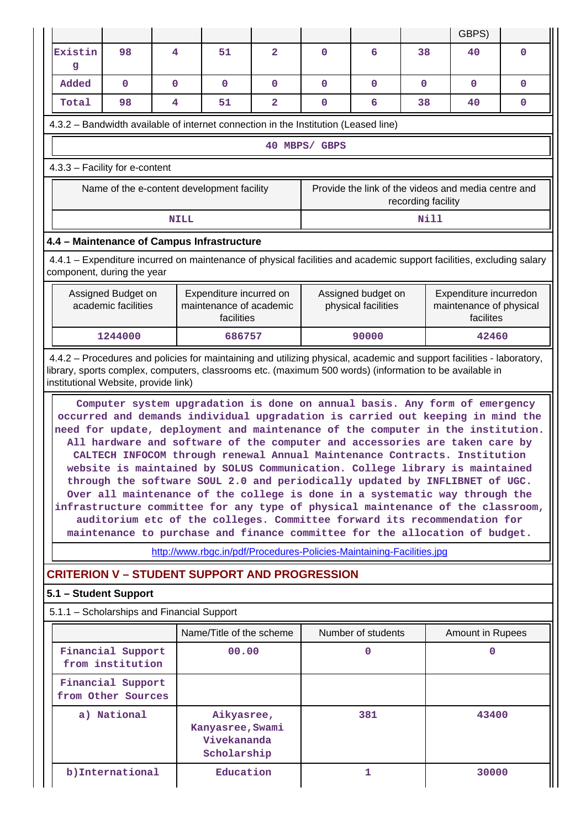|                                                                                                                                                                                                                                                                                                                                                                                                                                                                                                                                                                                                                                                                                                                                                                                                                                                                                                        |                                            |              |             |                                                              |              |                                                                       |                                           |                    | GBPS)                                                                                                                |             |
|--------------------------------------------------------------------------------------------------------------------------------------------------------------------------------------------------------------------------------------------------------------------------------------------------------------------------------------------------------------------------------------------------------------------------------------------------------------------------------------------------------------------------------------------------------------------------------------------------------------------------------------------------------------------------------------------------------------------------------------------------------------------------------------------------------------------------------------------------------------------------------------------------------|--------------------------------------------|--------------|-------------|--------------------------------------------------------------|--------------|-----------------------------------------------------------------------|-------------------------------------------|--------------------|----------------------------------------------------------------------------------------------------------------------|-------------|
| Existin<br>g                                                                                                                                                                                                                                                                                                                                                                                                                                                                                                                                                                                                                                                                                                                                                                                                                                                                                           | 98                                         | 4            |             | 51                                                           | $\mathbf{2}$ | $\mathbf 0$                                                           | 6                                         | 38                 | 40                                                                                                                   | $\mathbf 0$ |
| Added                                                                                                                                                                                                                                                                                                                                                                                                                                                                                                                                                                                                                                                                                                                                                                                                                                                                                                  | 0                                          | $\mathbf{0}$ |             | $\mathbf{0}$                                                 | 0            | $\mathbf{0}$                                                          | $\mathbf{0}$                              | $\mathbf{0}$       | 0                                                                                                                    | $\mathbf 0$ |
| Total                                                                                                                                                                                                                                                                                                                                                                                                                                                                                                                                                                                                                                                                                                                                                                                                                                                                                                  | 98                                         | 4            |             | 51                                                           | $\mathbf{2}$ | $\mathbf 0$                                                           | 6                                         | 38                 | 40                                                                                                                   | $\mathbf 0$ |
| 4.3.2 – Bandwidth available of internet connection in the Institution (Leased line)                                                                                                                                                                                                                                                                                                                                                                                                                                                                                                                                                                                                                                                                                                                                                                                                                    |                                            |              |             |                                                              |              |                                                                       |                                           |                    |                                                                                                                      |             |
|                                                                                                                                                                                                                                                                                                                                                                                                                                                                                                                                                                                                                                                                                                                                                                                                                                                                                                        |                                            |              |             |                                                              |              | 40 MBPS/ GBPS                                                         |                                           |                    |                                                                                                                      |             |
| 4.3.3 - Facility for e-content                                                                                                                                                                                                                                                                                                                                                                                                                                                                                                                                                                                                                                                                                                                                                                                                                                                                         |                                            |              |             |                                                              |              |                                                                       |                                           |                    |                                                                                                                      |             |
|                                                                                                                                                                                                                                                                                                                                                                                                                                                                                                                                                                                                                                                                                                                                                                                                                                                                                                        | Name of the e-content development facility |              |             |                                                              |              |                                                                       |                                           | recording facility | Provide the link of the videos and media centre and                                                                  |             |
|                                                                                                                                                                                                                                                                                                                                                                                                                                                                                                                                                                                                                                                                                                                                                                                                                                                                                                        |                                            |              | <b>NILL</b> |                                                              |              |                                                                       |                                           | Nill               |                                                                                                                      |             |
| 4.4 - Maintenance of Campus Infrastructure                                                                                                                                                                                                                                                                                                                                                                                                                                                                                                                                                                                                                                                                                                                                                                                                                                                             |                                            |              |             |                                                              |              |                                                                       |                                           |                    |                                                                                                                      |             |
| component, during the year                                                                                                                                                                                                                                                                                                                                                                                                                                                                                                                                                                                                                                                                                                                                                                                                                                                                             |                                            |              |             |                                                              |              |                                                                       |                                           |                    | 4.4.1 – Expenditure incurred on maintenance of physical facilities and academic support facilities, excluding salary |             |
| Assigned Budget on<br>Expenditure incurred on<br>academic facilities<br>maintenance of academic<br>facilities                                                                                                                                                                                                                                                                                                                                                                                                                                                                                                                                                                                                                                                                                                                                                                                          |                                            |              |             |                                                              |              |                                                                       | Assigned budget on<br>physical facilities |                    | Expenditure incurredon<br>maintenance of physical<br>facilites                                                       |             |
|                                                                                                                                                                                                                                                                                                                                                                                                                                                                                                                                                                                                                                                                                                                                                                                                                                                                                                        | 1244000                                    |              |             | 686757                                                       |              |                                                                       | 90000                                     |                    | 42460                                                                                                                |             |
| 4.4.2 – Procedures and policies for maintaining and utilizing physical, academic and support facilities - laboratory,<br>library, sports complex, computers, classrooms etc. (maximum 500 words) (information to be available in<br>institutional Website, provide link)                                                                                                                                                                                                                                                                                                                                                                                                                                                                                                                                                                                                                               |                                            |              |             |                                                              |              |                                                                       |                                           |                    |                                                                                                                      |             |
| Computer system upgradation is done on annual basis. Any form of emergency<br>occurred and demands individual upgradation is carried out keeping in mind the<br>need for update, deployment and maintenance of the computer in the institution.<br>All hardware and software of the computer and accessories are taken care by<br>CALTECH INFOCOM through renewal Annual Maintenance Contracts. Institution<br>website is maintained by SOLUS Communication. College library is maintained<br>through the software SOUL 2.0 and periodically updated by INFLIBNET of UGC.<br>Over all maintenance of the college is done in a systematic way through the<br>infrastructure committee for any type of physical maintenance of the classroom,<br>auditorium etc of the colleges. Committee forward its recommendation for<br>maintenance to purchase and finance committee for the allocation of budget. |                                            |              |             |                                                              |              |                                                                       |                                           |                    |                                                                                                                      |             |
|                                                                                                                                                                                                                                                                                                                                                                                                                                                                                                                                                                                                                                                                                                                                                                                                                                                                                                        |                                            |              |             |                                                              |              | http://www.rbgc.in/pdf/Procedures-Policies-Maintaining-Facilities.jpg |                                           |                    |                                                                                                                      |             |
| <b>CRITERION V - STUDENT SUPPORT AND PROGRESSION</b>                                                                                                                                                                                                                                                                                                                                                                                                                                                                                                                                                                                                                                                                                                                                                                                                                                                   |                                            |              |             |                                                              |              |                                                                       |                                           |                    |                                                                                                                      |             |
| 5.1 - Student Support<br>5.1.1 - Scholarships and Financial Support                                                                                                                                                                                                                                                                                                                                                                                                                                                                                                                                                                                                                                                                                                                                                                                                                                    |                                            |              |             |                                                              |              |                                                                       |                                           |                    |                                                                                                                      |             |
|                                                                                                                                                                                                                                                                                                                                                                                                                                                                                                                                                                                                                                                                                                                                                                                                                                                                                                        |                                            |              |             | Name/Title of the scheme                                     |              |                                                                       | Number of students                        |                    |                                                                                                                      |             |
|                                                                                                                                                                                                                                                                                                                                                                                                                                                                                                                                                                                                                                                                                                                                                                                                                                                                                                        | Financial Support                          |              |             | 00.00                                                        |              |                                                                       | $\mathbf{0}$                              |                    | Amount in Rupees<br>0                                                                                                |             |
|                                                                                                                                                                                                                                                                                                                                                                                                                                                                                                                                                                                                                                                                                                                                                                                                                                                                                                        | from institution                           |              |             |                                                              |              |                                                                       |                                           |                    |                                                                                                                      |             |
|                                                                                                                                                                                                                                                                                                                                                                                                                                                                                                                                                                                                                                                                                                                                                                                                                                                                                                        | Financial Support<br>from Other Sources    |              |             |                                                              |              |                                                                       |                                           |                    |                                                                                                                      |             |
|                                                                                                                                                                                                                                                                                                                                                                                                                                                                                                                                                                                                                                                                                                                                                                                                                                                                                                        | a) National                                |              |             | Aikyasree,<br>Kanyasree, Swami<br>Vivekananda<br>Scholarship |              | 381                                                                   |                                           |                    | 43400                                                                                                                |             |
|                                                                                                                                                                                                                                                                                                                                                                                                                                                                                                                                                                                                                                                                                                                                                                                                                                                                                                        | b) International                           |              |             | Education                                                    |              |                                                                       | $\mathbf{1}$                              |                    | 30000                                                                                                                |             |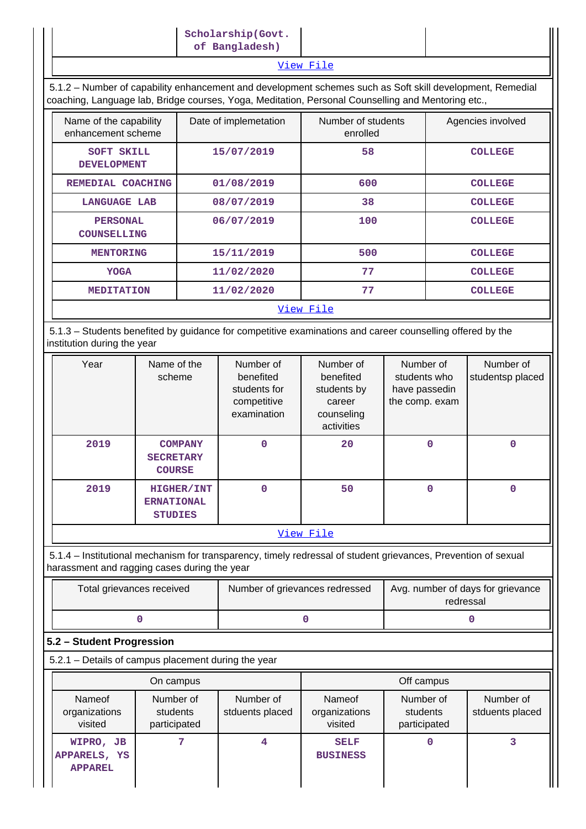## [View File](https://assessmentonline.naac.gov.in/public/Postacc/Scholarships/20073_Scholarships_1652769660.xlsx)

 5.1.2 – Number of capability enhancement and development schemes such as Soft skill development, Remedial coaching, Language lab, Bridge courses, Yoga, Meditation, Personal Counselling and Mentoring etc.,

| Name of the capability<br>enhancement scheme | Date of implemetation | Number of students<br>enrolled | Agencies involved |  |  |  |
|----------------------------------------------|-----------------------|--------------------------------|-------------------|--|--|--|
| SOFT SKILL<br><b>DEVELOPMENT</b>             | 15/07/2019            | 58                             | <b>COLLEGE</b>    |  |  |  |
| REMEDIAL COACHING                            | 01/08/2019            | 600                            | <b>COLLEGE</b>    |  |  |  |
| <b>LANGUAGE LAB</b>                          | 08/07/2019            | 38                             | <b>COLLEGE</b>    |  |  |  |
| <b>PERSONAL</b><br><b>COUNSELLING</b>        | 06/07/2019            | 100                            | <b>COLLEGE</b>    |  |  |  |
| <b>MENTORING</b>                             | 15/11/2019            | 500                            | <b>COLLEGE</b>    |  |  |  |
| <b>YOGA</b>                                  | 11/02/2020            | 77                             | <b>COLLEGE</b>    |  |  |  |
| <b>MEDITATION</b>                            | 11/02/2020            | 77                             | <b>COLLEGE</b>    |  |  |  |
| <u>View File</u>                             |                       |                                |                   |  |  |  |

 5.1.3 – Students benefited by guidance for competitive examinations and career counselling offered by the institution during the year

| Year | Name of the<br>scheme                                    | Number of<br>benefited<br>students for<br>competitive<br>examination | Number of<br>benefited<br>students by<br>career<br>counseling<br>activities | Number of<br>students who<br>have passedin<br>the comp. exam | Number of<br>studentsp placed |
|------|----------------------------------------------------------|----------------------------------------------------------------------|-----------------------------------------------------------------------------|--------------------------------------------------------------|-------------------------------|
| 2019 | <b>COMPANY</b><br><b>SECRETARY</b><br><b>COURSE</b>      | $\mathbf 0$                                                          | 20                                                                          | o                                                            | 0                             |
| 2019 | <b>HIGHER/INT</b><br><b>ERNATIONAL</b><br><b>STUDIES</b> | 0                                                                    | 50                                                                          | 0                                                            | 0                             |

## [View File](https://assessmentonline.naac.gov.in/public/Postacc/Guidance/20073_Guidance_1652420392.xlsx)

 5.1.4 – Institutional mechanism for transparency, timely redressal of student grievances, Prevention of sexual harassment and ragging cases during the year

| Total grievances received | Number of grievances redressed | Avg. number of days for grievance<br>redressal |
|---------------------------|--------------------------------|------------------------------------------------|
|                           |                                |                                                |

## **5.2 – Student Progression**

5.2.1 – Details of campus placement during the year

|                                             | On campus                             |                              | Off campus                         |                                       |                              |  |
|---------------------------------------------|---------------------------------------|------------------------------|------------------------------------|---------------------------------------|------------------------------|--|
| Nameof<br>organizations<br>visited          | Number of<br>students<br>participated | Number of<br>stduents placed | Nameof<br>organizations<br>visited | Number of<br>students<br>participated | Number of<br>stduents placed |  |
| WIPRO, JB<br>APPARELS, YS<br><b>APPAREL</b> |                                       | 4                            | <b>SELF</b><br><b>BUSINESS</b>     |                                       |                              |  |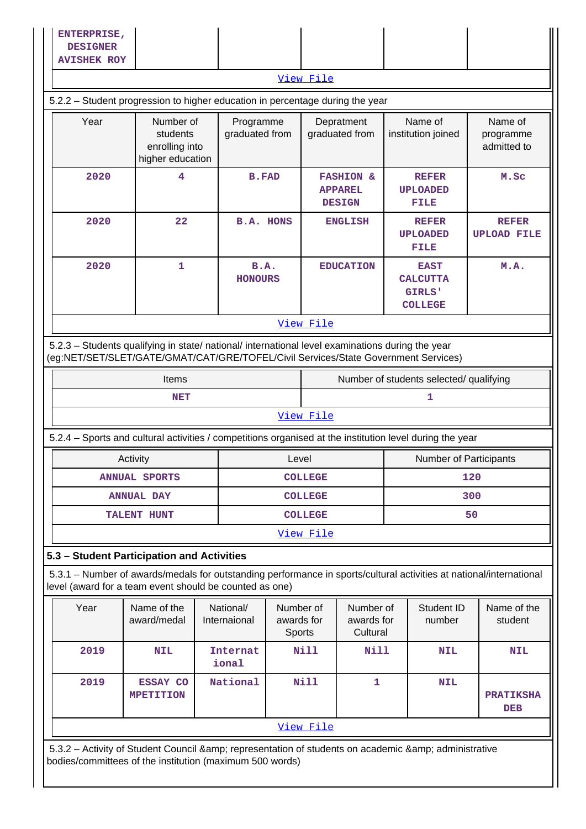| <b>AVISHEK ROY</b><br>View File<br>5.2.2 - Student progression to higher education in percentage during the year<br>Year<br>Number of<br>Programme<br>Depratment<br>Name of<br>Name of<br>graduated from<br>graduated from<br>students<br>institution joined<br>programme<br>enrolling into<br>admitted to<br>higher education<br>2020<br>4<br><b>B.FAD</b><br><b>FASHION &amp;</b><br><b>REFER</b><br>M.Sc<br><b>APPAREL</b><br><b>UPLOADED</b><br><b>DESIGN</b><br>FILE<br>22<br>2020<br><b>B.A. HONS</b><br><b>ENGLISH</b><br><b>REFER</b><br><b>REFER</b><br><b>UPLOAD FILE</b><br><b>UPLOADED</b><br>FILE<br>2020<br>$\mathbf{1}$<br>B.A.<br>M.A.<br><b>EDUCATION</b><br><b>EAST</b><br><b>HONOURS</b><br><b>CALCUTTA</b><br>GIRLS'<br><b>COLLEGE</b><br>View File<br>5.2.3 - Students qualifying in state/ national/ international level examinations during the year<br>(eg:NET/SET/SLET/GATE/GMAT/CAT/GRE/TOFEL/Civil Services/State Government Services)<br>Number of students selected/ qualifying<br><b>Items</b><br>1<br><b>NET</b><br>View File<br>5.2.4 – Sports and cultural activities / competitions organised at the institution level during the year<br><b>Number of Participants</b><br>Activity<br>Level<br>120<br><b>ANNUAL SPORTS</b><br><b>COLLEGE</b><br>300<br><b>COLLEGE</b><br><b>ANNUAL DAY</b><br><b>COLLEGE</b><br>50<br><b>TALENT HUNT</b><br>View File |  |  |  |  |  |  |  |
|------------------------------------------------------------------------------------------------------------------------------------------------------------------------------------------------------------------------------------------------------------------------------------------------------------------------------------------------------------------------------------------------------------------------------------------------------------------------------------------------------------------------------------------------------------------------------------------------------------------------------------------------------------------------------------------------------------------------------------------------------------------------------------------------------------------------------------------------------------------------------------------------------------------------------------------------------------------------------------------------------------------------------------------------------------------------------------------------------------------------------------------------------------------------------------------------------------------------------------------------------------------------------------------------------------------------------------------------------------------------------------------|--|--|--|--|--|--|--|
|                                                                                                                                                                                                                                                                                                                                                                                                                                                                                                                                                                                                                                                                                                                                                                                                                                                                                                                                                                                                                                                                                                                                                                                                                                                                                                                                                                                          |  |  |  |  |  |  |  |
|                                                                                                                                                                                                                                                                                                                                                                                                                                                                                                                                                                                                                                                                                                                                                                                                                                                                                                                                                                                                                                                                                                                                                                                                                                                                                                                                                                                          |  |  |  |  |  |  |  |
|                                                                                                                                                                                                                                                                                                                                                                                                                                                                                                                                                                                                                                                                                                                                                                                                                                                                                                                                                                                                                                                                                                                                                                                                                                                                                                                                                                                          |  |  |  |  |  |  |  |
|                                                                                                                                                                                                                                                                                                                                                                                                                                                                                                                                                                                                                                                                                                                                                                                                                                                                                                                                                                                                                                                                                                                                                                                                                                                                                                                                                                                          |  |  |  |  |  |  |  |
|                                                                                                                                                                                                                                                                                                                                                                                                                                                                                                                                                                                                                                                                                                                                                                                                                                                                                                                                                                                                                                                                                                                                                                                                                                                                                                                                                                                          |  |  |  |  |  |  |  |
|                                                                                                                                                                                                                                                                                                                                                                                                                                                                                                                                                                                                                                                                                                                                                                                                                                                                                                                                                                                                                                                                                                                                                                                                                                                                                                                                                                                          |  |  |  |  |  |  |  |
|                                                                                                                                                                                                                                                                                                                                                                                                                                                                                                                                                                                                                                                                                                                                                                                                                                                                                                                                                                                                                                                                                                                                                                                                                                                                                                                                                                                          |  |  |  |  |  |  |  |
|                                                                                                                                                                                                                                                                                                                                                                                                                                                                                                                                                                                                                                                                                                                                                                                                                                                                                                                                                                                                                                                                                                                                                                                                                                                                                                                                                                                          |  |  |  |  |  |  |  |
|                                                                                                                                                                                                                                                                                                                                                                                                                                                                                                                                                                                                                                                                                                                                                                                                                                                                                                                                                                                                                                                                                                                                                                                                                                                                                                                                                                                          |  |  |  |  |  |  |  |
|                                                                                                                                                                                                                                                                                                                                                                                                                                                                                                                                                                                                                                                                                                                                                                                                                                                                                                                                                                                                                                                                                                                                                                                                                                                                                                                                                                                          |  |  |  |  |  |  |  |
|                                                                                                                                                                                                                                                                                                                                                                                                                                                                                                                                                                                                                                                                                                                                                                                                                                                                                                                                                                                                                                                                                                                                                                                                                                                                                                                                                                                          |  |  |  |  |  |  |  |
|                                                                                                                                                                                                                                                                                                                                                                                                                                                                                                                                                                                                                                                                                                                                                                                                                                                                                                                                                                                                                                                                                                                                                                                                                                                                                                                                                                                          |  |  |  |  |  |  |  |
|                                                                                                                                                                                                                                                                                                                                                                                                                                                                                                                                                                                                                                                                                                                                                                                                                                                                                                                                                                                                                                                                                                                                                                                                                                                                                                                                                                                          |  |  |  |  |  |  |  |
|                                                                                                                                                                                                                                                                                                                                                                                                                                                                                                                                                                                                                                                                                                                                                                                                                                                                                                                                                                                                                                                                                                                                                                                                                                                                                                                                                                                          |  |  |  |  |  |  |  |
|                                                                                                                                                                                                                                                                                                                                                                                                                                                                                                                                                                                                                                                                                                                                                                                                                                                                                                                                                                                                                                                                                                                                                                                                                                                                                                                                                                                          |  |  |  |  |  |  |  |
|                                                                                                                                                                                                                                                                                                                                                                                                                                                                                                                                                                                                                                                                                                                                                                                                                                                                                                                                                                                                                                                                                                                                                                                                                                                                                                                                                                                          |  |  |  |  |  |  |  |
|                                                                                                                                                                                                                                                                                                                                                                                                                                                                                                                                                                                                                                                                                                                                                                                                                                                                                                                                                                                                                                                                                                                                                                                                                                                                                                                                                                                          |  |  |  |  |  |  |  |
|                                                                                                                                                                                                                                                                                                                                                                                                                                                                                                                                                                                                                                                                                                                                                                                                                                                                                                                                                                                                                                                                                                                                                                                                                                                                                                                                                                                          |  |  |  |  |  |  |  |
| 5.3 - Student Participation and Activities                                                                                                                                                                                                                                                                                                                                                                                                                                                                                                                                                                                                                                                                                                                                                                                                                                                                                                                                                                                                                                                                                                                                                                                                                                                                                                                                               |  |  |  |  |  |  |  |
| 5.3.1 – Number of awards/medals for outstanding performance in sports/cultural activities at national/international<br>level (award for a team event should be counted as one)                                                                                                                                                                                                                                                                                                                                                                                                                                                                                                                                                                                                                                                                                                                                                                                                                                                                                                                                                                                                                                                                                                                                                                                                           |  |  |  |  |  |  |  |
| Name of the<br>National/<br>Student ID<br>Name of the<br>Year<br>Number of<br>Number of<br>award/medal<br>Internaional<br>awards for<br>awards for<br>number<br>student<br>Cultural<br>Sports                                                                                                                                                                                                                                                                                                                                                                                                                                                                                                                                                                                                                                                                                                                                                                                                                                                                                                                                                                                                                                                                                                                                                                                            |  |  |  |  |  |  |  |
| 2019<br><b>Internat</b><br>Nill<br>Nill<br><b>NIL</b><br><b>NIL</b><br><b>NIL</b><br>ional                                                                                                                                                                                                                                                                                                                                                                                                                                                                                                                                                                                                                                                                                                                                                                                                                                                                                                                                                                                                                                                                                                                                                                                                                                                                                               |  |  |  |  |  |  |  |
| <b>Nill</b><br>$\mathbf{1}$<br>2019<br>National<br><b>ESSAY CO</b><br><b>NIL</b><br><b>MPETITION</b><br><b>PRATIKSHA</b><br><b>DEB</b>                                                                                                                                                                                                                                                                                                                                                                                                                                                                                                                                                                                                                                                                                                                                                                                                                                                                                                                                                                                                                                                                                                                                                                                                                                                   |  |  |  |  |  |  |  |
| View File                                                                                                                                                                                                                                                                                                                                                                                                                                                                                                                                                                                                                                                                                                                                                                                                                                                                                                                                                                                                                                                                                                                                                                                                                                                                                                                                                                                |  |  |  |  |  |  |  |
| 5.3.2 - Activity of Student Council & amp; representation of students on academic & amp; administrative<br>bodies/committees of the institution (maximum 500 words)                                                                                                                                                                                                                                                                                                                                                                                                                                                                                                                                                                                                                                                                                                                                                                                                                                                                                                                                                                                                                                                                                                                                                                                                                      |  |  |  |  |  |  |  |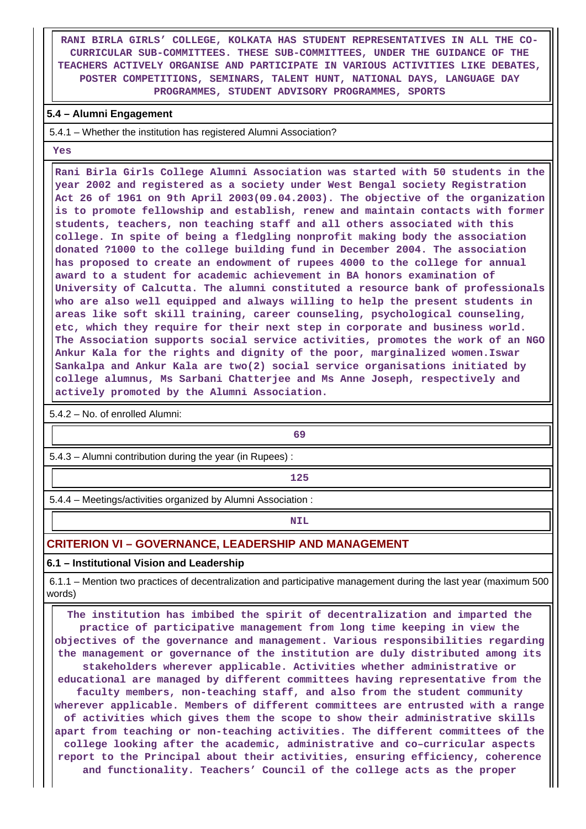**RANI BIRLA GIRLS' COLLEGE, KOLKATA HAS STUDENT REPRESENTATIVES IN ALL THE CO-CURRICULAR SUB-COMMITTEES. THESE SUB-COMMITTEES, UNDER THE GUIDANCE OF THE TEACHERS ACTIVELY ORGANISE AND PARTICIPATE IN VARIOUS ACTIVITIES LIKE DEBATES, POSTER COMPETITIONS, SEMINARS, TALENT HUNT, NATIONAL DAYS, LANGUAGE DAY PROGRAMMES, STUDENT ADVISORY PROGRAMMES, SPORTS**

#### **5.4 – Alumni Engagement**

5.4.1 – Whether the institution has registered Alumni Association?

 **Yes**

 **Rani Birla Girls College Alumni Association was started with 50 students in the year 2002 and registered as a society under West Bengal society Registration Act 26 of 1961 on 9th April 2003(09.04.2003). The objective of the organization is to promote fellowship and establish, renew and maintain contacts with former students, teachers, non teaching staff and all others associated with this college. In spite of being a fledgling nonprofit making body the association donated ?1000 to the college building fund in December 2004. The association has proposed to create an endowment of rupees 4000 to the college for annual award to a student for academic achievement in BA honors examination of University of Calcutta. The alumni constituted a resource bank of professionals who are also well equipped and always willing to help the present students in areas like soft skill training, career counseling, psychological counseling, etc, which they require for their next step in corporate and business world. The Association supports social service activities, promotes the work of an NGO Ankur Kala for the rights and dignity of the poor, marginalized women.Iswar Sankalpa and Ankur Kala are two(2) social service organisations initiated by college alumnus, Ms Sarbani Chatterjee and Ms Anne Joseph, respectively and actively promoted by the Alumni Association.**

5.4.2 – No. of enrolled Alumni:

**69**

5.4.3 – Alumni contribution during the year (in Rupees) :

**125**

5.4.4 – Meetings/activities organized by Alumni Association :

**NIL** 

## **CRITERION VI – GOVERNANCE, LEADERSHIP AND MANAGEMENT**

## **6.1 – Institutional Vision and Leadership**

 6.1.1 – Mention two practices of decentralization and participative management during the last year (maximum 500 words)

 **The institution has imbibed the spirit of decentralization and imparted the practice of participative management from long time keeping in view the objectives of the governance and management. Various responsibilities regarding the management or governance of the institution are duly distributed among its stakeholders wherever applicable. Activities whether administrative or educational are managed by different committees having representative from the faculty members, non-teaching staff, and also from the student community wherever applicable. Members of different committees are entrusted with a range of activities which gives them the scope to show their administrative skills apart from teaching or non-teaching activities. The different committees of the college looking after the academic, administrative and co–curricular aspects report to the Principal about their activities, ensuring efficiency, coherence and functionality. Teachers' Council of the college acts as the proper**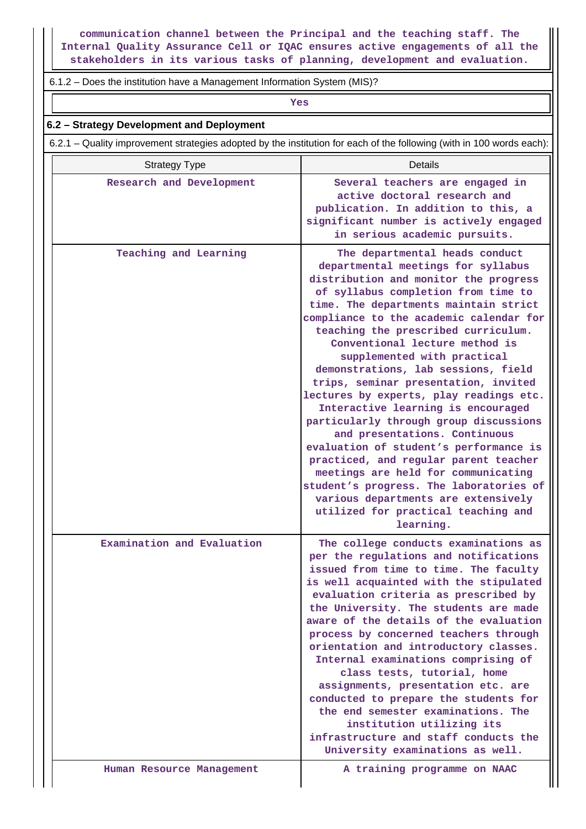**communication channel between the Principal and the teaching staff. The Internal Quality Assurance Cell or IQAC ensures active engagements of all the stakeholders in its various tasks of planning, development and evaluation.**

6.1.2 – Does the institution have a Management Information System (MIS)?

*Yes* 

## **6.2 – Strategy Development and Deployment**

6.2.1 – Quality improvement strategies adopted by the institution for each of the following (with in 100 words each):

| <b>Strategy Type</b>       | Details                                                                                                                                                                                                                                                                                                                                                                                                                                                                                                                                                                                                                                                                                                                                                                                                                                                     |
|----------------------------|-------------------------------------------------------------------------------------------------------------------------------------------------------------------------------------------------------------------------------------------------------------------------------------------------------------------------------------------------------------------------------------------------------------------------------------------------------------------------------------------------------------------------------------------------------------------------------------------------------------------------------------------------------------------------------------------------------------------------------------------------------------------------------------------------------------------------------------------------------------|
| Research and Development   | Several teachers are engaged in<br>active doctoral research and<br>publication. In addition to this, a<br>significant number is actively engaged<br>in serious academic pursuits.                                                                                                                                                                                                                                                                                                                                                                                                                                                                                                                                                                                                                                                                           |
| Teaching and Learning      | The departmental heads conduct<br>departmental meetings for syllabus<br>distribution and monitor the progress<br>of syllabus completion from time to<br>time. The departments maintain strict<br>compliance to the academic calendar for<br>teaching the prescribed curriculum.<br>Conventional lecture method is<br>supplemented with practical<br>demonstrations, lab sessions, field<br>trips, seminar presentation, invited<br>lectures by experts, play readings etc.<br>Interactive learning is encouraged<br>particularly through group discussions<br>and presentations. Continuous<br>evaluation of student's performance is<br>practiced, and regular parent teacher<br>meetings are held for communicating<br>student's progress. The laboratories of<br>various departments are extensively<br>utilized for practical teaching and<br>learning. |
| Examination and Evaluation | The college conducts examinations as<br>per the regulations and notifications<br>issued from time to time. The faculty<br>is well acquainted with the stipulated<br>evaluation criteria as prescribed by<br>the University. The students are made<br>aware of the details of the evaluation<br>process by concerned teachers through<br>orientation and introductory classes.<br>Internal examinations comprising of<br>class tests, tutorial, home<br>assignments, presentation etc. are<br>conducted to prepare the students for<br>the end semester examinations. The<br>institution utilizing its<br>infrastructure and staff conducts the<br>University examinations as well.                                                                                                                                                                          |
| Human Resource Management  | A training programme on NAAC                                                                                                                                                                                                                                                                                                                                                                                                                                                                                                                                                                                                                                                                                                                                                                                                                                |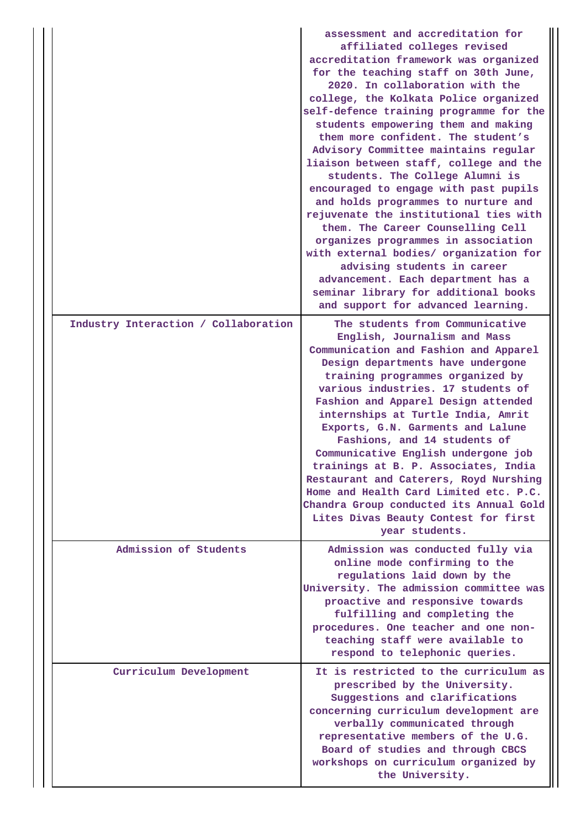|                                      | assessment and accreditation for<br>affiliated colleges revised<br>accreditation framework was organized<br>for the teaching staff on 30th June,<br>2020. In collaboration with the<br>college, the Kolkata Police organized<br>self-defence training programme for the<br>students empowering them and making<br>them more confident. The student's<br>Advisory Committee maintains regular<br>liaison between staff, college and the<br>students. The College Alumni is<br>encouraged to engage with past pupils<br>and holds programmes to nurture and<br>rejuvenate the institutional ties with<br>them. The Career Counselling Cell<br>organizes programmes in association<br>with external bodies/ organization for<br>advising students in career<br>advancement. Each department has a<br>seminar library for additional books<br>and support for advanced learning. |
|--------------------------------------|------------------------------------------------------------------------------------------------------------------------------------------------------------------------------------------------------------------------------------------------------------------------------------------------------------------------------------------------------------------------------------------------------------------------------------------------------------------------------------------------------------------------------------------------------------------------------------------------------------------------------------------------------------------------------------------------------------------------------------------------------------------------------------------------------------------------------------------------------------------------------|
| Industry Interaction / Collaboration | The students from Communicative<br>English, Journalism and Mass<br>Communication and Fashion and Apparel<br>Design departments have undergone<br>training programmes organized by<br>various industries. 17 students of<br>Fashion and Apparel Design attended<br>internships at Turtle India, Amrit<br>Exports, G.N. Garments and Lalune<br>Fashions, and 14 students of<br>Communicative English undergone job<br>trainings at B. P. Associates, India<br>Restaurant and Caterers, Royd Nurshing<br>Home and Health Card Limited etc. P.C.<br>Chandra Group conducted its Annual Gold<br>Lites Divas Beauty Contest for first<br>year students.                                                                                                                                                                                                                            |
| Admission of Students                | Admission was conducted fully via<br>online mode confirming to the<br>regulations laid down by the<br>University. The admission committee was<br>proactive and responsive towards<br>fulfilling and completing the<br>procedures. One teacher and one non-<br>teaching staff were available to<br>respond to telephonic queries.                                                                                                                                                                                                                                                                                                                                                                                                                                                                                                                                             |
| Curriculum Development               | It is restricted to the curriculum as<br>prescribed by the University.<br>Suggestions and clarifications<br>concerning curriculum development are<br>verbally communicated through<br>representative members of the U.G.<br>Board of studies and through CBCS<br>workshops on curriculum organized by<br>the University.                                                                                                                                                                                                                                                                                                                                                                                                                                                                                                                                                     |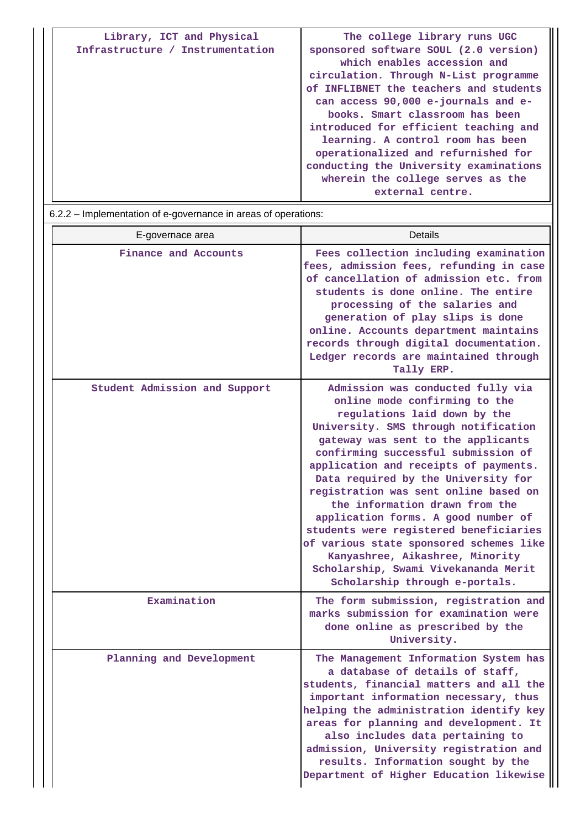| Library, ICT and Physical<br>Infrastructure / Instrumentation | The college library runs UGC<br>sponsored software SOUL (2.0 version)<br>which enables accession and                                                                                                                                                                                                                                                                              |
|---------------------------------------------------------------|-----------------------------------------------------------------------------------------------------------------------------------------------------------------------------------------------------------------------------------------------------------------------------------------------------------------------------------------------------------------------------------|
|                                                               | circulation. Through N-List programme<br>of INFLIBNET the teachers and students<br>can access 90,000 e-journals and e-<br>books. Smart classroom has been<br>introduced for efficient teaching and<br>learning. A control room has been<br>operationalized and refurnished for<br>conducting the University examinations<br>wherein the college serves as the<br>external centre. |

# 6.2.2 – Implementation of e-governance in areas of operations:

| E-governace area              | Details                                                                                                                                                                                                                                                                                                                                                                                                                                                                                                                                                                                                                     |
|-------------------------------|-----------------------------------------------------------------------------------------------------------------------------------------------------------------------------------------------------------------------------------------------------------------------------------------------------------------------------------------------------------------------------------------------------------------------------------------------------------------------------------------------------------------------------------------------------------------------------------------------------------------------------|
| Finance and Accounts          | Fees collection including examination<br>fees, admission fees, refunding in case<br>of cancellation of admission etc. from<br>students is done online. The entire<br>processing of the salaries and<br>generation of play slips is done<br>online. Accounts department maintains<br>records through digital documentation.<br>Ledger records are maintained through<br>Tally ERP.                                                                                                                                                                                                                                           |
| Student Admission and Support | Admission was conducted fully via<br>online mode confirming to the<br>regulations laid down by the<br>University. SMS through notification<br>gateway was sent to the applicants<br>confirming successful submission of<br>application and receipts of payments.<br>Data required by the University for<br>registration was sent online based on<br>the information drawn from the<br>application forms. A good number of<br>students were registered beneficiaries<br>of various state sponsored schemes like<br>Kanyashree, Aikashree, Minority<br>Scholarship, Swami Vivekananda Merit<br>Scholarship through e-portals. |
| Examination                   | The form submission, registration and<br>marks submission for examination were<br>done online as prescribed by the<br>University.                                                                                                                                                                                                                                                                                                                                                                                                                                                                                           |
| Planning and Development      | The Management Information System has<br>a database of details of staff,<br>students, financial matters and all the<br>important information necessary, thus<br>helping the administration identify key<br>areas for planning and development. It<br>also includes data pertaining to<br>admission, University registration and<br>results. Information sought by the<br>Department of Higher Education likewise                                                                                                                                                                                                            |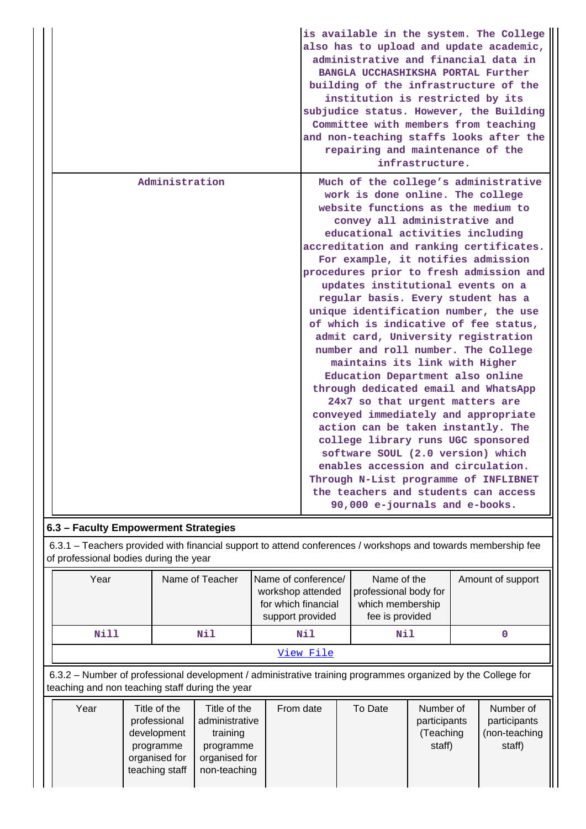|                | is available in the system. The College<br>also has to upload and update academic,<br>administrative and financial data in<br>BANGLA UCCHASHIKSHA PORTAL Further<br>building of the infrastructure of the<br>institution is restricted by its<br>subjudice status. However, the Building<br>Committee with members from teaching<br>and non-teaching staffs looks after the<br>repairing and maintenance of the<br>infrastructure.                                                                                                                                                                                                                                                                                                                                                                                                                                                                                                                                                                                            |
|----------------|-------------------------------------------------------------------------------------------------------------------------------------------------------------------------------------------------------------------------------------------------------------------------------------------------------------------------------------------------------------------------------------------------------------------------------------------------------------------------------------------------------------------------------------------------------------------------------------------------------------------------------------------------------------------------------------------------------------------------------------------------------------------------------------------------------------------------------------------------------------------------------------------------------------------------------------------------------------------------------------------------------------------------------|
| Administration | Much of the college's administrative<br>work is done online. The college<br>website functions as the medium to<br>convey all administrative and<br>educational activities including<br>accreditation and ranking certificates.<br>For example, it notifies admission<br>procedures prior to fresh admission and<br>updates institutional events on a<br>regular basis. Every student has a<br>unique identification number, the use<br>of which is indicative of fee status,<br>admit card, University registration<br>number and roll number. The College<br>maintains its link with Higher<br>Education Department also online<br>through dedicated email and WhatsApp<br>24x7 so that urgent matters are<br>conveyed immediately and appropriate<br>action can be taken instantly. The<br>college library runs UGC sponsored<br>software SOUL (2.0 version) which<br>enables accession and circulation.<br>Through N-List programme of INFLIBNET<br>the teachers and students can access<br>90,000 e-journals and e-books. |

## **6.3 – Faculty Empowerment Strategies**

 6.3.1 – Teachers provided with financial support to attend conferences / workshops and towards membership fee of professional bodies during the year

| Year      | Name of Teacher | Name of conference/<br>workshop attended<br>for which financial<br>support provided | Name of the<br>professional body for<br>which membership<br>fee is provided | Amount of support |  |
|-----------|-----------------|-------------------------------------------------------------------------------------|-----------------------------------------------------------------------------|-------------------|--|
| Nill      | Nil             | Nil                                                                                 | Nil                                                                         |                   |  |
| View File |                 |                                                                                     |                                                                             |                   |  |

 6.3.2 – Number of professional development / administrative training programmes organized by the College for teaching and non teaching staff during the year

| Year | Title of the<br>professional<br>development<br>programme<br>organised for<br>teaching staff | Title of the<br>administrative<br>training<br>programme<br>organised for<br>non-teaching | From date | To Date | Number of<br>participants<br>(Teaching<br>staff) | Number of<br>participants<br>(non-teaching<br>staff) |
|------|---------------------------------------------------------------------------------------------|------------------------------------------------------------------------------------------|-----------|---------|--------------------------------------------------|------------------------------------------------------|
|      |                                                                                             |                                                                                          |           |         |                                                  |                                                      |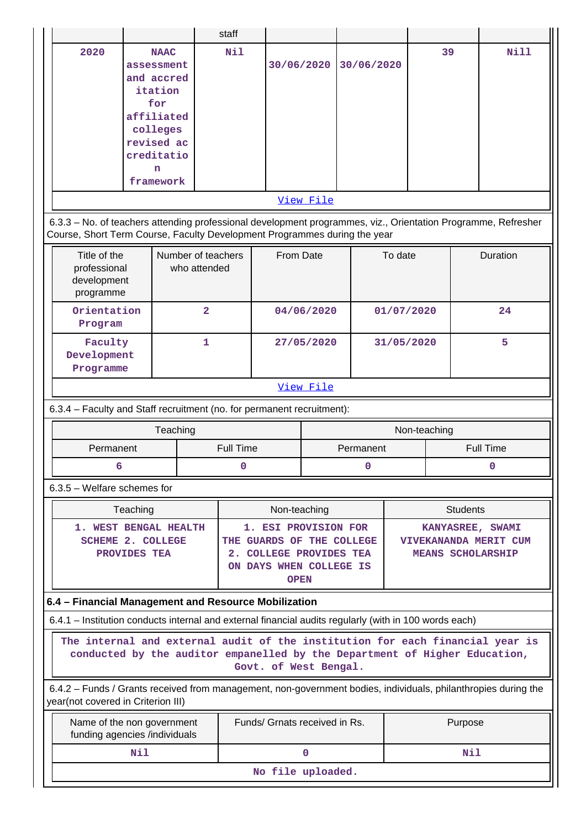|                                                                                                                                                                                                                                                                      |                                                                    |                                                |                               | staff      |              |                               |            |            |           |              |                 |             |
|----------------------------------------------------------------------------------------------------------------------------------------------------------------------------------------------------------------------------------------------------------------------|--------------------------------------------------------------------|------------------------------------------------|-------------------------------|------------|--------------|-------------------------------|------------|------------|-----------|--------------|-----------------|-------------|
| 2020                                                                                                                                                                                                                                                                 | assessment<br>and accred<br>affiliated<br>revised ac<br>creditatio | <b>NAAC</b><br>itation<br>for<br>colleges<br>n |                               | <b>Nil</b> |              | 30/06/2020                    |            | 30/06/2020 |           | 39           |                 | <b>Nill</b> |
|                                                                                                                                                                                                                                                                      |                                                                    | framework                                      |                               |            |              |                               |            |            |           |              |                 |             |
| View File                                                                                                                                                                                                                                                            |                                                                    |                                                |                               |            |              |                               |            |            |           |              |                 |             |
| 6.3.3 - No. of teachers attending professional development programmes, viz., Orientation Programme, Refresher<br>Course, Short Term Course, Faculty Development Programmes during the year                                                                           |                                                                    |                                                |                               |            |              |                               |            |            |           |              |                 |             |
| Title of the<br>Number of teachers<br>professional<br>who attended<br>development<br>programme                                                                                                                                                                       |                                                                    |                                                |                               | From Date  |              |                               |            | To date    |           |              | Duration        |             |
| Orientation<br>Program                                                                                                                                                                                                                                               |                                                                    |                                                | $\overline{2}$                |            |              | 04/06/2020                    |            |            |           | 01/07/2020   |                 | 24          |
| Faculty<br>$\mathbf{1}$<br>Development<br>Programme                                                                                                                                                                                                                  |                                                                    |                                                |                               | 27/05/2020 |              |                               | 31/05/2020 |            |           | 5            |                 |             |
|                                                                                                                                                                                                                                                                      |                                                                    |                                                |                               |            |              | View File                     |            |            |           |              |                 |             |
| 6.3.4 - Faculty and Staff recruitment (no. for permanent recruitment):                                                                                                                                                                                               |                                                                    |                                                |                               |            |              |                               |            |            |           |              |                 |             |
|                                                                                                                                                                                                                                                                      |                                                                    | Teaching                                       |                               |            |              |                               |            |            |           | Non-teaching |                 |             |
| Permanent                                                                                                                                                                                                                                                            |                                                                    |                                                | <b>Full Time</b><br>Permanent |            |              |                               |            |            | Full Time |              |                 |             |
| 6                                                                                                                                                                                                                                                                    |                                                                    |                                                |                               | 0          |              |                               |            | 0          |           |              |                 |             |
| $6.3.5$ – Welfare schemes for                                                                                                                                                                                                                                        |                                                                    |                                                |                               |            |              |                               |            |            |           |              |                 |             |
|                                                                                                                                                                                                                                                                      | Teaching                                                           |                                                |                               |            | Non-teaching |                               |            |            |           |              | <b>Students</b> |             |
| 1. WEST BENGAL HEALTH<br>1. ESI PROVISION FOR<br>KANYASREE, SWAMI<br><b>SCHEME 2. COLLEGE</b><br>THE GUARDS OF THE COLLEGE<br>VIVEKANANDA MERIT CUM<br>2. COLLEGE PROVIDES TEA<br>PROVIDES TEA<br><b>MEANS SCHOLARSHIP</b><br>ON DAYS WHEN COLLEGE IS<br><b>OPEN</b> |                                                                    |                                                |                               |            |              |                               |            |            |           |              |                 |             |
| 6.4 - Financial Management and Resource Mobilization                                                                                                                                                                                                                 |                                                                    |                                                |                               |            |              |                               |            |            |           |              |                 |             |
| 6.4.1 – Institution conducts internal and external financial audits regularly (with in 100 words each)                                                                                                                                                               |                                                                    |                                                |                               |            |              |                               |            |            |           |              |                 |             |
| The internal and external audit of the institution for each financial year is<br>conducted by the auditor empanelled by the Department of Higher Education,<br>Govt. of West Bengal.                                                                                 |                                                                    |                                                |                               |            |              |                               |            |            |           |              |                 |             |
| 6.4.2 – Funds / Grants received from management, non-government bodies, individuals, philanthropies during the<br>year(not covered in Criterion III)                                                                                                                 |                                                                    |                                                |                               |            |              |                               |            |            |           |              |                 |             |
| Name of the non government<br>funding agencies /individuals                                                                                                                                                                                                          |                                                                    |                                                |                               |            |              | Funds/ Grnats received in Rs. |            |            |           | Purpose      |                 |             |
|                                                                                                                                                                                                                                                                      | Nil                                                                |                                                |                               |            |              | $\mathbf 0$                   |            |            |           |              | Nil             |             |
| No file uploaded.                                                                                                                                                                                                                                                    |                                                                    |                                                |                               |            |              |                               |            |            |           |              |                 |             |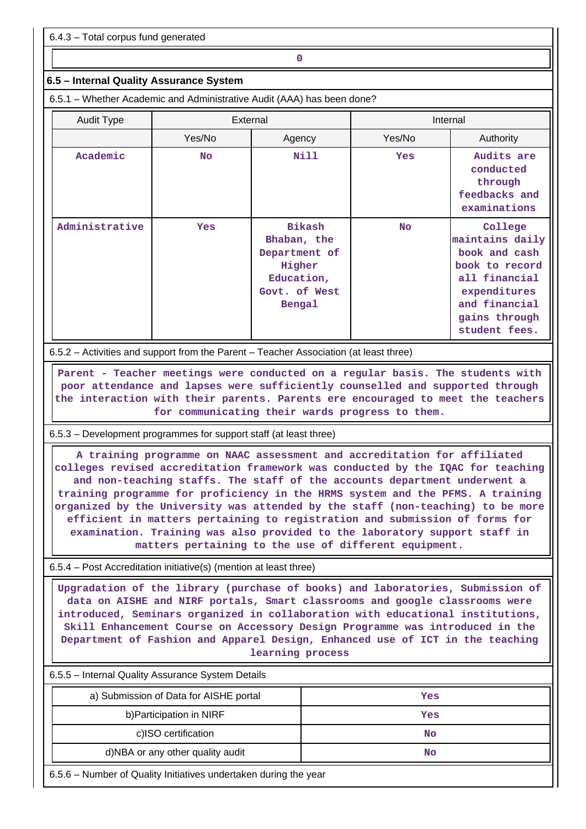6.4.3 – Total corpus fund generated

## **0**

## **6.5 – Internal Quality Assurance System**

6.5.1 – Whether Academic and Administrative Audit (AAA) has been done?

| <b>Audit Type</b> | External  |                                                                                                  | Internal  |                                                                                                                                                   |
|-------------------|-----------|--------------------------------------------------------------------------------------------------|-----------|---------------------------------------------------------------------------------------------------------------------------------------------------|
|                   | Yes/No    | Agency                                                                                           | Yes/No    | Authority                                                                                                                                         |
| Academic          | <b>No</b> | Nill                                                                                             | Yes       | Audits are<br>conducted<br>through<br>feedbacks and<br>examinations                                                                               |
| Administrative    | Yes       | <b>Bikash</b><br>Bhaban, the<br>Department of<br>Higher<br>Education,<br>Govt. of West<br>Bengal | <b>No</b> | College<br>maintains daily<br>book and cash<br>book to record<br>all financial<br>expenditures<br>and financial<br>gains through<br>student fees. |

6.5.2 – Activities and support from the Parent – Teacher Association (at least three)

 **Parent - Teacher meetings were conducted on a regular basis. The students with poor attendance and lapses were sufficiently counselled and supported through the interaction with their parents. Parents ere encouraged to meet the teachers for communicating their wards progress to them.**

6.5.3 – Development programmes for support staff (at least three)

 **A training programme on NAAC assessment and accreditation for affiliated colleges revised accreditation framework was conducted by the IQAC for teaching and non-teaching staffs. The staff of the accounts department underwent a training programme for proficiency in the HRMS system and the PFMS. A training organized by the University was attended by the staff (non-teaching) to be more efficient in matters pertaining to registration and submission of forms for examination. Training was also provided to the laboratory support staff in matters pertaining to the use of different equipment.**

6.5.4 – Post Accreditation initiative(s) (mention at least three)

 **Upgradation of the library (purchase of books) and laboratories, Submission of data on AISHE and NIRF portals, Smart classrooms and google classrooms were introduced, Seminars organized in collaboration with educational institutions, Skill Enhancement Course on Accessory Design Programme was introduced in the Department of Fashion and Apparel Design, Enhanced use of ICT in the teaching learning process**

6.5.5 – Internal Quality Assurance System Details

| a) Submission of Data for AISHE portal | Yes |
|----------------------------------------|-----|
| b) Participation in NIRF               | Yes |
| c)ISO certification                    | No  |
| d)NBA or any other quality audit       | No  |

6.5.6 – Number of Quality Initiatives undertaken during the year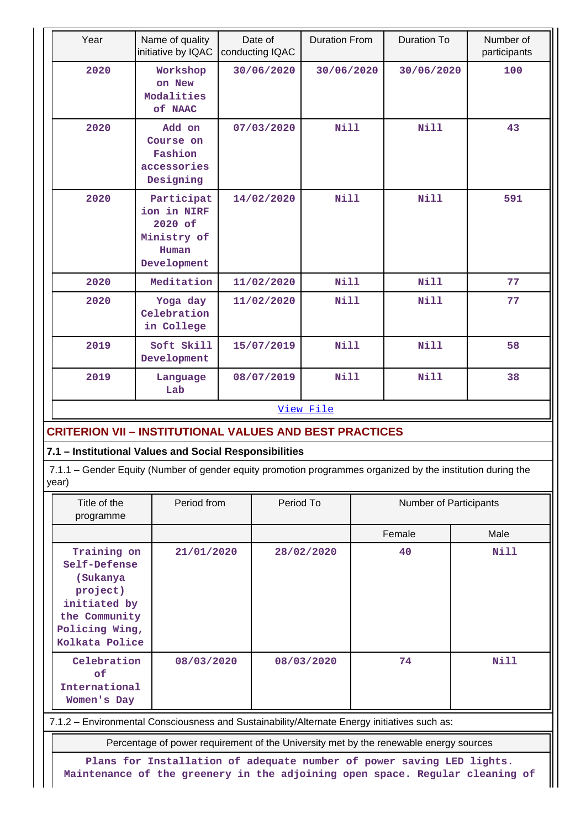| Year                                                           | Name of quality<br>initiative by IQAC                                       | Date of<br>conducting IQAC | <b>Duration From</b> | <b>Duration To</b> | Number of<br>participants |  |
|----------------------------------------------------------------|-----------------------------------------------------------------------------|----------------------------|----------------------|--------------------|---------------------------|--|
| 2020                                                           | Workshop<br>on New<br>Modalities<br>of NAAC                                 | 30/06/2020                 | 30/06/2020           | 30/06/2020         | 100                       |  |
| 2020                                                           | Add on<br>Course on<br>Fashion<br>accessories<br>Designing                  | 07/03/2020                 | <b>Nill</b>          | <b>Nill</b>        | 43                        |  |
| 2020                                                           | Participat<br>ion in NIRF<br>2020 of<br>Ministry of<br>Human<br>Development | 14/02/2020                 | Nill                 | Nill               | 591                       |  |
| 2020                                                           | Meditation                                                                  | 11/02/2020                 | Nill                 | <b>Nill</b>        | 77                        |  |
| 2020                                                           | Yoga day<br>Celebration<br>in College                                       | 11/02/2020                 | <b>Nill</b>          | <b>Nill</b>        | 77                        |  |
| 2019                                                           | Soft Skill<br>Development                                                   | 15/07/2019                 | Nill                 | <b>Nill</b>        | 58                        |  |
| 2019                                                           | Language<br>Lab                                                             | 08/07/2019                 | Nill                 | Nill               | 38                        |  |
|                                                                | View File                                                                   |                            |                      |                    |                           |  |
| <b>CRITERION VII - INSTITUTIONAL VALUES AND BEST PRACTICES</b> |                                                                             |                            |                      |                    |                           |  |
| 7.1 - Institutional Values and Social Responsibilities         |                                                                             |                            |                      |                    |                           |  |

 7.1.1 – Gender Equity (Number of gender equity promotion programmes organized by the institution during the year)

| Title of the<br>programme                                                                                                | Period from | Period To  | Number of Participants |             |
|--------------------------------------------------------------------------------------------------------------------------|-------------|------------|------------------------|-------------|
|                                                                                                                          |             |            | Female                 | Male        |
| Training on<br>Self-Defense<br>(Sukanya<br>project)<br>initiated by<br>the Community<br>Policing Wing,<br>Kolkata Police | 21/01/2020  | 28/02/2020 | 40                     | Nill        |
| Celebration<br>of.<br>International<br>Women's Day                                                                       | 08/03/2020  | 08/03/2020 | 74                     | <b>Nill</b> |

7.1.2 – Environmental Consciousness and Sustainability/Alternate Energy initiatives such as:

Percentage of power requirement of the University met by the renewable energy sources

**Plans for Installation of adequate number of power saving LED lights. Maintenance of the greenery in the adjoining open space. Regular cleaning of**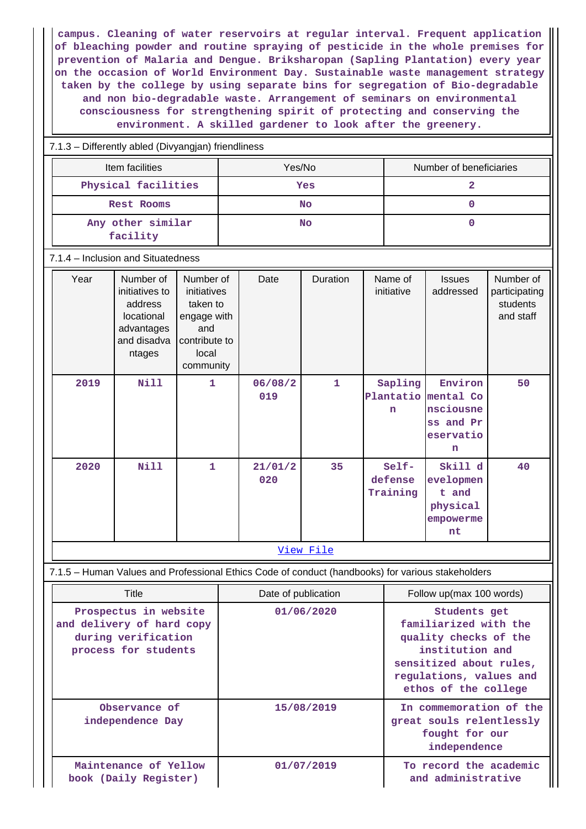**campus. Cleaning of water reservoirs at regular interval. Frequent application of bleaching powder and routine spraying of pesticide in the whole premises for prevention of Malaria and Dengue. Briksharopan (Sapling Plantation) every year on the occasion of World Environment Day. Sustainable waste management strategy taken by the college by using separate bins for segregation of Bio-degradable and non bio-degradable waste. Arrangement of seminars on environmental consciousness for strengthening spirit of protecting and conserving the environment. A skilled gardener to look after the greenery.**

## 7.1.3 – Differently abled (Divyangjan) friendliness

| Item facilities               | Yes/No | Number of beneficiaries |
|-------------------------------|--------|-------------------------|
| Physical facilities           | Yes    |                         |
| Rest Rooms                    | No     |                         |
| Any other similar<br>facility | No     |                         |

#### 7.1.4 – Inclusion and Situatedness

| Year | Number of<br>initiatives to<br>address<br>locational<br>advantages<br>and disadva<br>ntages | Number of<br>initiatives<br>taken to<br>engage with<br>and<br>contribute to<br>local<br>community | Date           | Duration     | Name of<br>initiative               | <b>Issues</b><br>addressed                                       | Number of<br>participating<br>students<br>and staff |
|------|---------------------------------------------------------------------------------------------|---------------------------------------------------------------------------------------------------|----------------|--------------|-------------------------------------|------------------------------------------------------------------|-----------------------------------------------------|
| 2019 | <b>Nill</b>                                                                                 | $\mathbf{1}$                                                                                      | 06/08/2<br>019 | $\mathbf{1}$ | Sapling<br>Plantatio<br>$\mathbf n$ | Environ<br>mental Co<br>nsciousne<br>ss and Pr<br>eservatio<br>n | 50                                                  |
| 2020 | <b>Nill</b>                                                                                 | $\mathbf{1}$                                                                                      | 21/01/2<br>020 | 35           | Self-<br>defense<br>Training        | Skill d<br>evelopmen<br>t and<br>physical<br>empowerme<br>nt     | 40                                                  |

#### [View File](https://assessmentonline.naac.gov.in/public/Postacc/Inclusion/20073_Inclusion_1652436132.xlsx)

## 7.1.5 – Human Values and Professional Ethics Code of conduct (handbooks) for various stakeholders

| Title                                                                                             | Date of publication | Follow up(max 100 words)                                                                                                                                        |
|---------------------------------------------------------------------------------------------------|---------------------|-----------------------------------------------------------------------------------------------------------------------------------------------------------------|
| Prospectus in website<br>and delivery of hard copy<br>during verification<br>process for students | 01/06/2020          | Students get<br>familiarized with the<br>quality checks of the<br>institution and<br>sensitized about rules,<br>regulations, values and<br>ethos of the college |
| Observance of<br>independence Day                                                                 | 15/08/2019          | In commemoration of the<br>great souls relentlessly<br>fought for our<br>independence                                                                           |
| Maintenance of Yellow<br>book (Daily Register)                                                    | 01/07/2019          | To record the academic<br>and administrative                                                                                                                    |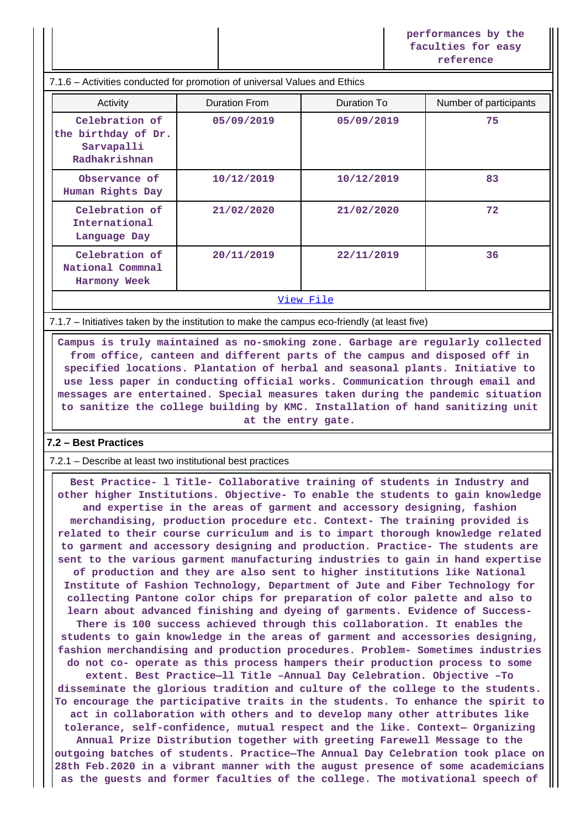**performances by the faculties for easy reference**

#### 7.1.6 – Activities conducted for promotion of universal Values and Ethics

| Activity                                                             | <b>Duration From</b> | Duration To | Number of participants |  |
|----------------------------------------------------------------------|----------------------|-------------|------------------------|--|
| Celebration of<br>the birthday of Dr.<br>Sarvapalli<br>Radhakrishnan | 05/09/2019           | 05/09/2019  | 75                     |  |
| Observance of<br>Human Rights Day                                    | 10/12/2019           | 10/12/2019  | 83                     |  |
| Celebration of<br>International<br>Language Day                      | 21/02/2020           | 21/02/2020  | 72                     |  |
| Celebration of<br>National Commnal<br>Harmony Week                   | 20/11/2019           | 22/11/2019  | 36                     |  |
| View File                                                            |                      |             |                        |  |

7.1.7 – Initiatives taken by the institution to make the campus eco-friendly (at least five)

 **Campus is truly maintained as no-smoking zone. Garbage are regularly collected from office, canteen and different parts of the campus and disposed off in specified locations. Plantation of herbal and seasonal plants. Initiative to use less paper in conducting official works. Communication through email and messages are entertained. Special measures taken during the pandemic situation to sanitize the college building by KMC. Installation of hand sanitizing unit at the entry gate.**

## **7.2 – Best Practices**

7.2.1 – Describe at least two institutional best practices

 **Best Practice- l Title- Collaborative training of students in Industry and other higher Institutions. Objective- To enable the students to gain knowledge and expertise in the areas of garment and accessory designing, fashion merchandising, production procedure etc. Context- The training provided is related to their course curriculum and is to impart thorough knowledge related to garment and accessory designing and production. Practice- The students are sent to the various garment manufacturing industries to gain in hand expertise of production and they are also sent to higher institutions like National Institute of Fashion Technology, Department of Jute and Fiber Technology for collecting Pantone color chips for preparation of color palette and also to learn about advanced finishing and dyeing of garments. Evidence of Success-There is 100 success achieved through this collaboration. It enables the students to gain knowledge in the areas of garment and accessories designing, fashion merchandising and production procedures. Problem- Sometimes industries do not co- operate as this process hampers their production process to some extent. Best Practice—ll Title –Annual Day Celebration. Objective –To disseminate the glorious tradition and culture of the college to the students. To encourage the participative traits in the students. To enhance the spirit to act in collaboration with others and to develop many other attributes like tolerance, self-confidence, mutual respect and the like. Context— Organizing Annual Prize Distribution together with greeting Farewell Message to the outgoing batches of students. Practice—The Annual Day Celebration took place on 28th Feb.2020 in a vibrant manner with the august presence of some academicians as the guests and former faculties of the college. The motivational speech of**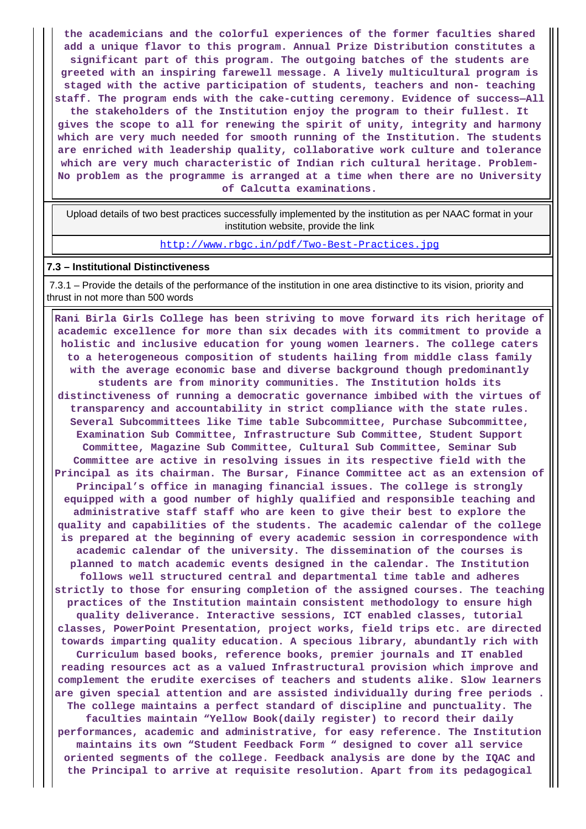**the academicians and the colorful experiences of the former faculties shared add a unique flavor to this program. Annual Prize Distribution constitutes a significant part of this program. The outgoing batches of the students are greeted with an inspiring farewell message. A lively multicultural program is staged with the active participation of students, teachers and non- teaching staff. The program ends with the cake-cutting ceremony. Evidence of success—All the stakeholders of the Institution enjoy the program to their fullest. It gives the scope to all for renewing the spirit of unity, integrity and harmony which are very much needed for smooth running of the Institution. The students are enriched with leadership quality, collaborative work culture and tolerance which are very much characteristic of Indian rich cultural heritage. Problem-No problem as the programme is arranged at a time when there are no University of Calcutta examinations.**

 Upload details of two best practices successfully implemented by the institution as per NAAC format in your institution website, provide the link

<http://www.rbgc.in/pdf/Two-Best-Practices.jpg>

#### **7.3 – Institutional Distinctiveness**

 7.3.1 – Provide the details of the performance of the institution in one area distinctive to its vision, priority and thrust in not more than 500 words

 **Rani Birla Girls College has been striving to move forward its rich heritage of academic excellence for more than six decades with its commitment to provide a holistic and inclusive education for young women learners. The college caters to a heterogeneous composition of students hailing from middle class family with the average economic base and diverse background though predominantly students are from minority communities. The Institution holds its distinctiveness of running a democratic governance imbibed with the virtues of transparency and accountability in strict compliance with the state rules. Several Subcommittees like Time table Subcommittee, Purchase Subcommittee, Examination Sub Committee, Infrastructure Sub Committee, Student Support Committee, Magazine Sub Committee, Cultural Sub Committee, Seminar Sub Committee are active in resolving issues in its respective field with the Principal as its chairman. The Bursar, Finance Committee act as an extension of Principal's office in managing financial issues. The college is strongly equipped with a good number of highly qualified and responsible teaching and administrative staff staff who are keen to give their best to explore the quality and capabilities of the students. The academic calendar of the college is prepared at the beginning of every academic session in correspondence with academic calendar of the university. The dissemination of the courses is planned to match academic events designed in the calendar. The Institution follows well structured central and departmental time table and adheres strictly to those for ensuring completion of the assigned courses. The teaching practices of the Institution maintain consistent methodology to ensure high quality deliverance. Interactive sessions, ICT enabled classes, tutorial classes, PowerPoint Presentation, project works, field trips etc. are directed towards imparting quality education. A specious library, abundantly rich with Curriculum based books, reference books, premier journals and IT enabled reading resources act as a valued Infrastructural provision which improve and complement the erudite exercises of teachers and students alike. Slow learners are given special attention and are assisted individually during free periods . The college maintains a perfect standard of discipline and punctuality. The faculties maintain "Yellow Book(daily register) to record their daily performances, academic and administrative, for easy reference. The Institution maintains its own "Student Feedback Form " designed to cover all service oriented segments of the college. Feedback analysis are done by the IQAC and the Principal to arrive at requisite resolution. Apart from its pedagogical**